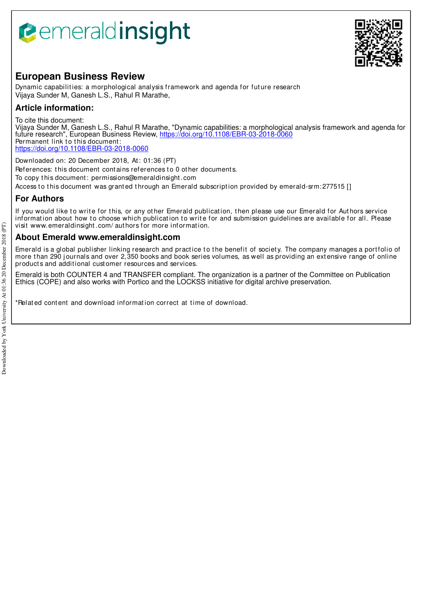# **B**emeraldinsight



# **European Business Review**

Dynamic capabilit ies: a morphological analysis framework and agenda for fut ure research Vijaya Sunder M, Ganesh L.S., Rahul R Marathe,

# **Article information:**

To cite this document: Vijaya Sunder M, Ganesh L.S., Rahul R Marathe, "Dynamic capabilities: a morphological analysis framework and agenda for future research", European Business Review, <u>https://doi.org/10.1108/EBR-03-2018-0060</u> Permanent link to this document: https://doi.org/10.1108/EBR-03-2018-0060

Downloaded on: 20 December 2018, At : 01:36 (PT)

References: this document contains references to 0 other documents.

To copy t his document : permissions@emeraldinsight .com

Access to this document was granted through an Emerald subscription provided by emerald-srm:277515 []

# **For Authors**

If you would like to write for this, or any other Emerald publication, then please use our Emerald for Authors service information about how to choose which publication to write for and submission guidelines are available for all. Please visit www.emeraldinsight.com/ authors for more information.

### **About Emerald www.emeraldinsight.com**

Emerald is a global publisher linking research and practice to the benefit of society. The company manages a portfolio of more than 290 journals and over 2,350 books and book series volumes, as well as providing an extensive range of online products and additional customer resources and services.

Emerald is both COUNTER 4 and TRANSFER compliant. The organization is a partner of the Committee on Publication Ethics (COPE) and also works with Portico and the LOCKSS initiative for digital archive preservation.

\*Relat ed cont ent and download informat ion correct at t ime of download.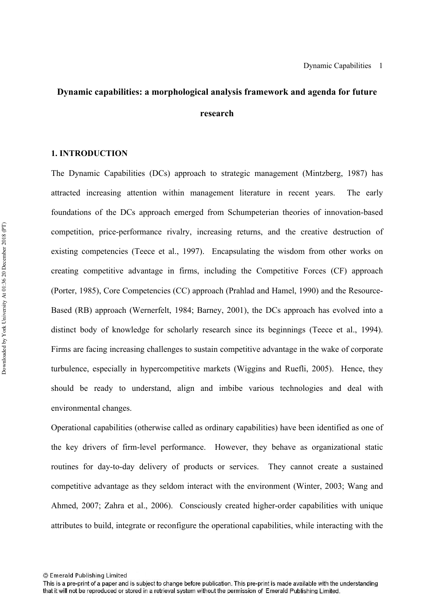# **Dynamic capabilities: a morphological analysis framework and agenda for future research**

#### **1. INTRODUCTION**

The Dynamic Capabilities (DCs) approach to strategic management (Mintzberg, 1987) has attracted increasing attention within management literature in recent years. The early foundations of the DCs approach emerged from Schumpeterian theories of innovation-based competition, price-performance rivalry, increasing returns, and the creative destruction of existing competencies (Teece et al., 1997). Encapsulating the wisdom from other works on creating competitive advantage in firms, including the Competitive Forces (CF) approach (Porter, 1985), Core Competencies (CC) approach (Prahlad and Hamel, 1990) and the Resource-Based (RB) approach (Wernerfelt, 1984; Barney, 2001), the DCs approach has evolved into a distinct body of knowledge for scholarly research since its beginnings (Teece et al., 1994). Firms are facing increasing challenges to sustain competitive advantage in the wake of corporate turbulence, especially in hypercompetitive markets (Wiggins and Ruefli, 2005). Hence, they should be ready to understand, align and imbibe various technologies and deal with environmental changes.

Operational capabilities (otherwise called as ordinary capabilities) have been identified as one of the key drivers of firm-level performance. However, they behave as organizational static routines for day-to-day delivery of products or services. They cannot create a sustained competitive advantage as they seldom interact with the environment (Winter, 2003; Wang and Ahmed, 2007; Zahra et al., 2006). Consciously created higher-order capabilities with unique attributes to build, integrate or reconfigure the operational capabilities, while interacting with the

<sup>©</sup> Emerald Publishing Limited

This is a pre-print of a paper and is subject to change before publication. This pre-print is made available with the understanding that it will not be reproduced or stored in a retrieval system without the permission of Emerald Publishing Limited.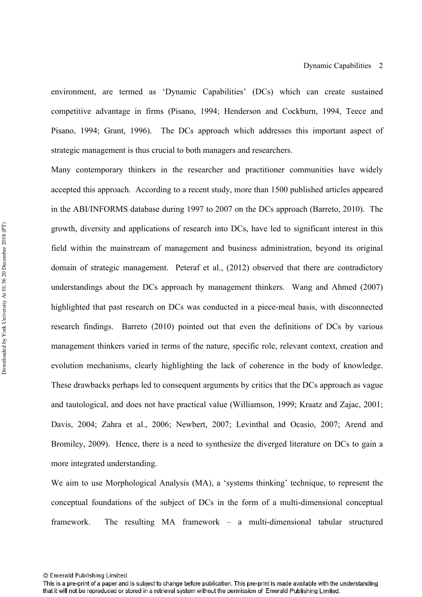environment, are termed as 'Dynamic Capabilities' (DCs) which can create sustained competitive advantage in firms (Pisano, 1994; Henderson and Cockburn, 1994, Teece and Pisano, 1994; Grant, 1996). The DCs approach which addresses this important aspect of strategic management is thus crucial to both managers and researchers.

Many contemporary thinkers in the researcher and practitioner communities have widely accepted this approach. According to a recent study, more than 1500 published articles appeared in the ABI/INFORMS database during 1997 to 2007 on the DCs approach (Barreto, 2010). The growth, diversity and applications of research into DCs, have led to significant interest in this field within the mainstream of management and business administration, beyond its original domain of strategic management. Peteraf et al., (2012) observed that there are contradictory understandings about the DCs approach by management thinkers. Wang and Ahmed (2007) highlighted that past research on DCs was conducted in a piece-meal basis, with disconnected research findings. Barreto (2010) pointed out that even the definitions of DCs by various management thinkers varied in terms of the nature, specific role, relevant context, creation and evolution mechanisms, clearly highlighting the lack of coherence in the body of knowledge. These drawbacks perhaps led to consequent arguments by critics that the DCs approach as vague and tautological, and does not have practical value (Williamson, 1999; Kraatz and Zajac, 2001; Davis, 2004; Zahra et al., 2006; Newbert, 2007; Levinthal and Ocasio, 2007; Arend and Bromiley, 2009). Hence, there is a need to synthesize the diverged literature on DCs to gain a more integrated understanding.

We aim to use Morphological Analysis (MA), a 'systems thinking' technique, to represent the conceptual foundations of the subject of DCs in the form of a multi-dimensional conceptual framework. The resulting MA framework – a multi-dimensional tabular structured

<sup>©</sup> Emerald Publishing Limited

This is a pre-print of a paper and is subject to change before publication. This pre-print is made available with the understanding that it will not be reproduced or stored in a retrieval system without the permission of Emerald Publishing Limited.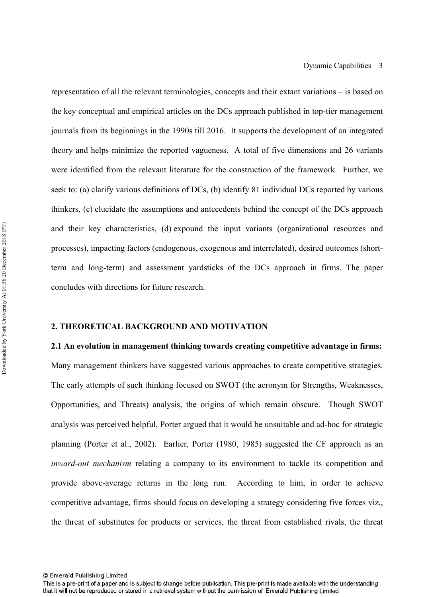representation of all the relevant terminologies, concepts and their extant variations – is based on the key conceptual and empirical articles on the DCs approach published in top-tier management journals from its beginnings in the 1990s till 2016. It supports the development of an integrated theory and helps minimize the reported vagueness. A total of five dimensions and 26 variants were identified from the relevant literature for the construction of the framework. Further, we seek to: (a) clarify various definitions of DCs, (b) identify 81 individual DCs reported by various thinkers, (c) elucidate the assumptions and antecedents behind the concept of the DCs approach and their key characteristics, (d) expound the input variants (organizational resources and processes), impacting factors (endogenous, exogenous and interrelated), desired outcomes (shortterm and long-term) and assessment yardsticks of the DCs approach in firms. The paper concludes with directions for future research.

#### **2. THEORETICAL BACKGROUND AND MOTIVATION**

**2.1 An evolution in management thinking towards creating competitive advantage in firms:** Many management thinkers have suggested various approaches to create competitive strategies. The early attempts of such thinking focused on SWOT (the acronym for Strengths, Weaknesses, Opportunities, and Threats) analysis, the origins of which remain obscure. Though SWOT analysis was perceived helpful, Porter argued that it would be unsuitable and ad-hoc for strategic planning (Porter et al., 2002). Earlier, Porter (1980, 1985) suggested the CF approach as an *inward-out mechanism* relating a company to its environment to tackle its competition and provide above-average returns in the long run. According to him, in order to achieve competitive advantage, firms should focus on developing a strategy considering five forces viz., the threat of substitutes for products or services, the threat from established rivals, the threat

<sup>©</sup> Emerald Publishing Limited

This is a pre-print of a paper and is subject to change before publication. This pre-print is made available with the understanding that it will not be reproduced or stored in a retrieval system without the permission of Emerald Publishing Limited.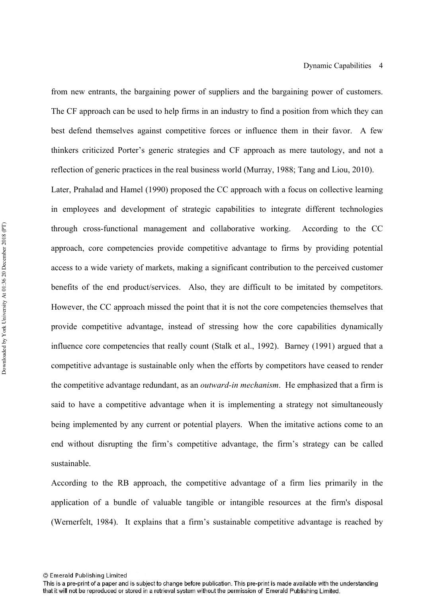from new entrants, the bargaining power of suppliers and the bargaining power of customers. The CF approach can be used to help firms in an industry to find a position from which they can best defend themselves against competitive forces or influence them in their favor. A few thinkers criticized Porter's generic strategies and CF approach as mere tautology, and not a reflection of generic practices in the real business world (Murray, 1988; Tang and Liou, 2010).

Later, Prahalad and Hamel (1990) proposed the CC approach with a focus on collective learning in employees and development of strategic capabilities to integrate different technologies through cross-functional management and collaborative working. According to the CC approach, core competencies provide competitive advantage to firms by providing potential access to a wide variety of markets, making a significant contribution to the perceived customer benefits of the end product/services. Also, they are difficult to be imitated by competitors. However, the CC approach missed the point that it is not the core competencies themselves that provide competitive advantage, instead of stressing how the core capabilities dynamically influence core competencies that really count (Stalk et al., 1992). Barney (1991) argued that a competitive advantage is sustainable only when the efforts by competitors have ceased to render the competitive advantage redundant, as an *outward-in mechanism*. He emphasized that a firm is said to have a competitive advantage when it is implementing a strategy not simultaneously being implemented by any current or potential players. When the imitative actions come to an end without disrupting the firm's competitive advantage, the firm's strategy can be called sustainable.

According to the RB approach, the competitive advantage of a firm lies primarily in the application of a bundle of valuable tangible or intangible resources at the firm's disposal (Wernerfelt, 1984). It explains that a firm's sustainable competitive advantage is reached by

<sup>©</sup> Emerald Publishing Limited

This is a pre-print of a paper and is subject to change before publication. This pre-print is made available with the understanding that it will not be reproduced or stored in a retrieval system without the permission of Emerald Publishing Limited.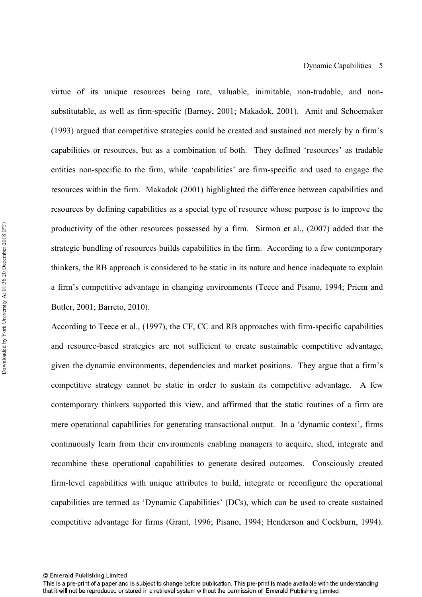virtue of its unique resources being rare, valuable, inimitable, non-tradable, and nonsubstitutable, as well as firm-specific (Barney, 2001; Makadok, 2001). Amit and Schoemaker (1993) argued that competitive strategies could be created and sustained not merely by a firm's capabilities or resources, but as a combination of both. They defined 'resources' as tradable entities non-specific to the firm, while 'capabilities' are firm-specific and used to engage the resources within the firm. Makadok (2001) highlighted the difference between capabilities and resources by defining capabilities as a special type of resource whose purpose is to improve the productivity of the other resources possessed by a firm. Sirmon et al., (2007) added that the strategic bundling of resources builds capabilities in the firm. According to a few contemporary thinkers, the RB approach is considered to be static in its nature and hence inadequate to explain a firm's competitive advantage in changing environments (Teece and Pisano, 1994; Priem and Butler, 2001; Barreto, 2010).

According to Teece et al., (1997), the CF, CC and RB approaches with firm-specific capabilities and resource-based strategies are not sufficient to create sustainable competitive advantage, given the dynamic environments, dependencies and market positions. They argue that a firm's competitive strategy cannot be static in order to sustain its competitive advantage. A few contemporary thinkers supported this view, and affirmed that the static routines of a firm are mere operational capabilities for generating transactional output. In a 'dynamic context', firms continuously learn from their environments enabling managers to acquire, shed, integrate and recombine these operational capabilities to generate desired outcomes. Consciously created firm-level capabilities with unique attributes to build, integrate or reconfigure the operational capabilities are termed as 'Dynamic Capabilities' (DCs), which can be used to create sustained competitive advantage for firms (Grant, 1996; Pisano, 1994; Henderson and Cockburn, 1994).

<sup>©</sup> Emerald Publishing Limited

This is a pre-print of a paper and is subject to change before publication. This pre-print is made available with the understanding that it will not be reproduced or stored in a retrieval system without the permission of Emerald Publishing Limited.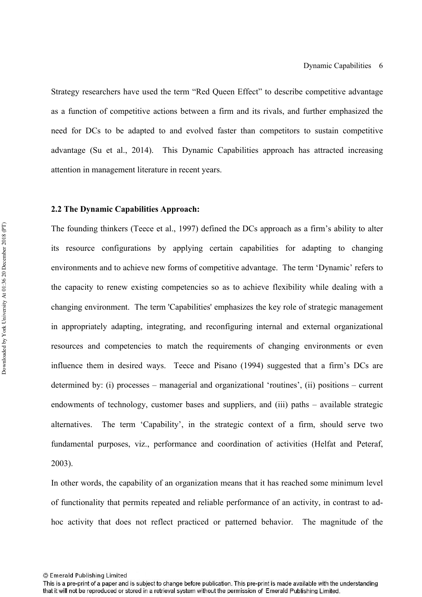Strategy researchers have used the term "Red Queen Effect" to describe competitive advantage as a function of competitive actions between a firm and its rivals, and further emphasized the need for DCs to be adapted to and evolved faster than competitors to sustain competitive advantage (Su et al., 2014). This Dynamic Capabilities approach has attracted increasing attention in management literature in recent years.

#### **2.2 The Dynamic Capabilities Approach:**

The founding thinkers (Teece et al., 1997) defined the DCs approach as a firm's ability to alter its resource configurations by applying certain capabilities for adapting to changing environments and to achieve new forms of competitive advantage. The term 'Dynamic' refers to the capacity to renew existing competencies so as to achieve flexibility while dealing with a changing environment. The term 'Capabilities' emphasizes the key role of strategic management in appropriately adapting, integrating, and reconfiguring internal and external organizational resources and competencies to match the requirements of changing environments or even influence them in desired ways. Teece and Pisano (1994) suggested that a firm's DCs are determined by: (i) processes – managerial and organizational 'routines', (ii) positions – current endowments of technology, customer bases and suppliers, and (iii) paths – available strategic alternatives. The term 'Capability', in the strategic context of a firm, should serve two fundamental purposes, viz., performance and coordination of activities (Helfat and Peteraf, 2003).

In other words, the capability of an organization means that it has reached some minimum level of functionality that permits repeated and reliable performance of an activity, in contrast to adhoc activity that does not reflect practiced or patterned behavior. The magnitude of the

<sup>©</sup> Emerald Publishing Limited

This is a pre-print of a paper and is subject to change before publication. This pre-print is made available with the understanding that it will not be reproduced or stored in a retrieval system without the permission of Emerald Publishing Limited.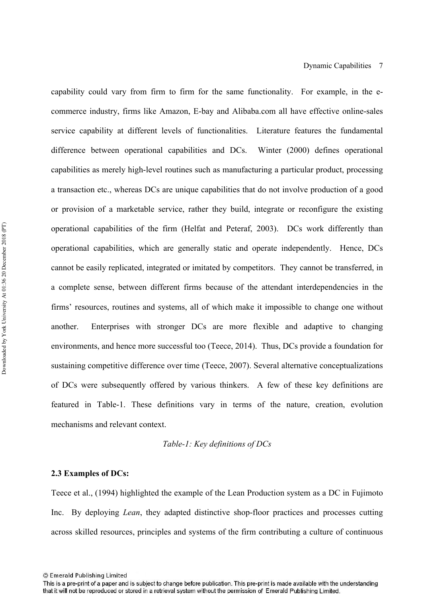capability could vary from firm to firm for the same functionality. For example, in the ecommerce industry, firms like Amazon, E-bay and Alibaba.com all have effective online-sales service capability at different levels of functionalities. Literature features the fundamental difference between operational capabilities and DCs. Winter (2000) defines operational capabilities as merely high-level routines such as manufacturing a particular product, processing a transaction etc., whereas DCs are unique capabilities that do not involve production of a good or provision of a marketable service, rather they build, integrate or reconfigure the existing operational capabilities of the firm (Helfat and Peteraf, 2003). DCs work differently than operational capabilities, which are generally static and operate independently. Hence, DCs cannot be easily replicated, integrated or imitated by competitors. They cannot be transferred, in a complete sense, between different firms because of the attendant interdependencies in the firms' resources, routines and systems, all of which make it impossible to change one without another. Enterprises with stronger DCs are more flexible and adaptive to changing environments, and hence more successful too (Teece, 2014). Thus, DCs provide a foundation for sustaining competitive difference over time (Teece, 2007). Several alternative conceptualizations of DCs were subsequently offered by various thinkers. A few of these key definitions are featured in Table-1. These definitions vary in terms of the nature, creation, evolution mechanisms and relevant context.

#### *Table-1: Key definitions of DCs*

#### **2.3 Examples of DCs:**

Teece et al., (1994) highlighted the example of the Lean Production system as a DC in Fujimoto Inc. By deploying *Lean*, they adapted distinctive shop-floor practices and processes cutting across skilled resources, principles and systems of the firm contributing a culture of continuous

<sup>©</sup> Emerald Publishing Limited

This is a pre-print of a paper and is subject to change before publication. This pre-print is made available with the understanding that it will not be reproduced or stored in a retrieval system without the permission of Emerald Publishing Limited.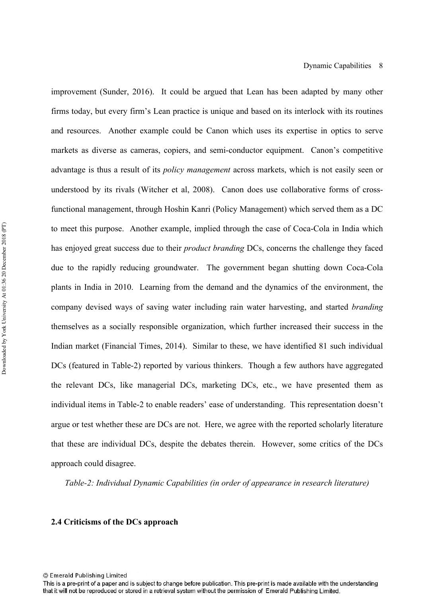improvement (Sunder, 2016). It could be argued that Lean has been adapted by many other firms today, but every firm's Lean practice is unique and based on its interlock with its routines and resources. Another example could be Canon which uses its expertise in optics to serve markets as diverse as cameras, copiers, and semi-conductor equipment. Canon's competitive advantage is thus a result of its *policy management* across markets, which is not easily seen or understood by its rivals (Witcher et al, 2008). Canon does use collaborative forms of crossfunctional management, through Hoshin Kanri (Policy Management) which served them as a DC to meet this purpose. Another example, implied through the case of Coca-Cola in India which has enjoyed great success due to their *product branding* DCs, concerns the challenge they faced due to the rapidly reducing groundwater. The government began shutting down Coca-Cola plants in India in 2010. Learning from the demand and the dynamics of the environment, the company devised ways of saving water including rain water harvesting, and started *branding* themselves as a socially responsible organization, which further increased their success in the Indian market (Financial Times, 2014). Similar to these, we have identified 81 such individual DCs (featured in Table-2) reported by various thinkers. Though a few authors have aggregated the relevant DCs, like managerial DCs, marketing DCs, etc., we have presented them as individual items in Table-2 to enable readers' ease of understanding. This representation doesn't argue or test whether these are DCs are not. Here, we agree with the reported scholarly literature that these are individual DCs, despite the debates therein. However, some critics of the DCs approach could disagree.

*Table-2: Individual Dynamic Capabilities (in order of appearance in research literature)*

#### **2.4 Criticisms of the DCs approach**

© Emerald Publishing Limited

This is a pre-print of a paper and is subject to change before publication. This pre-print is made available with the understanding that it will not be reproduced or stored in a retrieval system without the permission of Emerald Publishing Limited.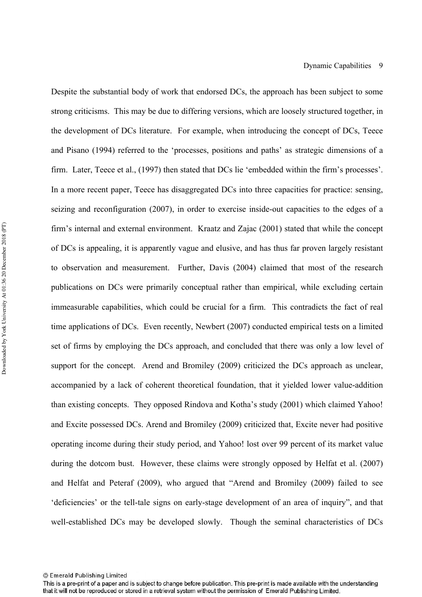Despite the substantial body of work that endorsed DCs, the approach has been subject to some strong criticisms. This may be due to differing versions, which are loosely structured together, in the development of DCs literature. For example, when introducing the concept of DCs, Teece and Pisano (1994) referred to the 'processes, positions and paths' as strategic dimensions of a firm. Later, Teece et al., (1997) then stated that DCs lie 'embedded within the firm's processes'. In a more recent paper, Teece has disaggregated DCs into three capacities for practice: sensing, seizing and reconfiguration (2007), in order to exercise inside-out capacities to the edges of a firm's internal and external environment. Kraatz and Zajac (2001) stated that while the concept of DCs is appealing, it is apparently vague and elusive, and has thus far proven largely resistant to observation and measurement. Further, Davis (2004) claimed that most of the research publications on DCs were primarily conceptual rather than empirical, while excluding certain immeasurable capabilities, which could be crucial for a firm. This contradicts the fact of real time applications of DCs. Even recently, Newbert (2007) conducted empirical tests on a limited set of firms by employing the DCs approach, and concluded that there was only a low level of support for the concept. Arend and Bromiley (2009) criticized the DCs approach as unclear, accompanied by a lack of coherent theoretical foundation, that it yielded lower value-addition than existing concepts. They opposed Rindova and Kotha's study (2001) which claimed Yahoo! and Excite possessed DCs. Arend and Bromiley (2009) criticized that, Excite never had positive operating income during their study period, and Yahoo! lost over 99 percent of its market value during the dotcom bust. However, these claims were strongly opposed by Helfat et al. (2007) and Helfat and Peteraf (2009), who argued that "Arend and Bromiley (2009) failed to see 'deficiencies' or the tell-tale signs on early-stage development of an area of inquiry", and that well-established DCs may be developed slowly. Though the seminal characteristics of DCs

<sup>©</sup> Emerald Publishing Limited

This is a pre-print of a paper and is subject to change before publication. This pre-print is made available with the understanding that it will not be reproduced or stored in a retrieval system without the permission of Emerald Publishing Limited.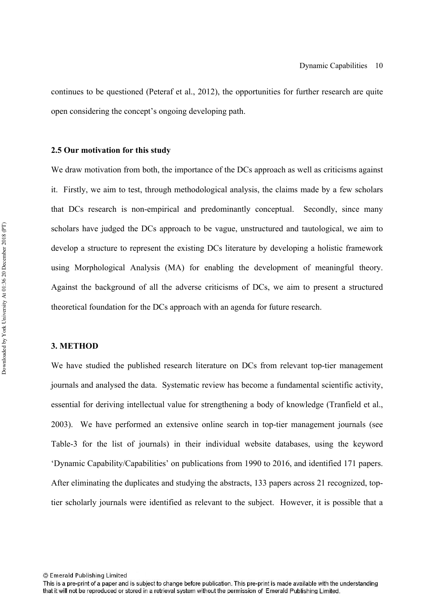continues to be questioned (Peteraf et al., 2012), the opportunities for further research are quite open considering the concept's ongoing developing path.

#### **2.5 Our motivation for this study**

We draw motivation from both, the importance of the DCs approach as well as criticisms against it. Firstly, we aim to test, through methodological analysis, the claims made by a few scholars that DCs research is non-empirical and predominantly conceptual. Secondly, since many scholars have judged the DCs approach to be vague, unstructured and tautological, we aim to develop a structure to represent the existing DCs literature by developing a holistic framework using Morphological Analysis (MA) for enabling the development of meaningful theory. Against the background of all the adverse criticisms of DCs, we aim to present a structured theoretical foundation for the DCs approach with an agenda for future research.

#### **3. METHOD**

We have studied the published research literature on DCs from relevant top-tier management journals and analysed the data. Systematic review has become a fundamental scientific activity, essential for deriving intellectual value for strengthening a body of knowledge (Tranfield et al., 2003). We have performed an extensive online search in top-tier management journals (see Table-3 for the list of journals) in their individual website databases, using the keyword 'Dynamic Capability/Capabilities' on publications from 1990 to 2016, and identified 171 papers. After eliminating the duplicates and studying the abstracts, 133 papers across 21 recognized, toptier scholarly journals were identified as relevant to the subject. However, it is possible that a

This is a pre-print of a paper and is subject to change before publication. This pre-print is made available with the understanding that it will not be reproduced or stored in a retrieval system without the permission of Emerald Publishing Limited.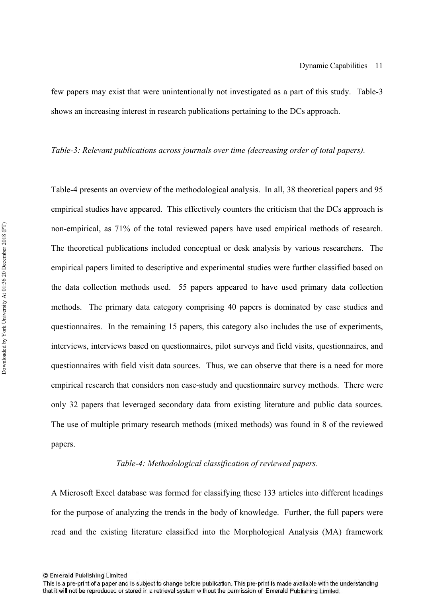few papers may exist that were unintentionally not investigated as a part of this study. Table-3 shows an increasing interest in research publications pertaining to the DCs approach.

#### *Table-3: Relevant publications across journals over time (decreasing order of total papers).*

Table-4 presents an overview of the methodological analysis. In all, 38 theoretical papers and 95 empirical studies have appeared. This effectively counters the criticism that the DCs approach is non-empirical, as 71% of the total reviewed papers have used empirical methods of research. The theoretical publications included conceptual or desk analysis by various researchers. The empirical papers limited to descriptive and experimental studies were further classified based on the data collection methods used. 55 papers appeared to have used primary data collection methods. The primary data category comprising 40 papers is dominated by case studies and questionnaires. In the remaining 15 papers, this category also includes the use of experiments, interviews, interviews based on questionnaires, pilot surveys and field visits, questionnaires, and questionnaires with field visit data sources. Thus, we can observe that there is a need for more empirical research that considers non case-study and questionnaire survey methods. There were only 32 papers that leveraged secondary data from existing literature and public data sources. The use of multiple primary research methods (mixed methods) was found in 8 of the reviewed papers.

#### *Table-4: Methodological classification of reviewed papers*.

A Microsoft Excel database was formed for classifying these 133 articles into different headings for the purpose of analyzing the trends in the body of knowledge. Further, the full papers were read and the existing literature classified into the Morphological Analysis (MA) framework

<sup>©</sup> Emerald Publishing Limited

This is a pre-print of a paper and is subject to change before publication. This pre-print is made available with the understanding that it will not be reproduced or stored in a retrieval system without the permission of Emerald Publishing Limited.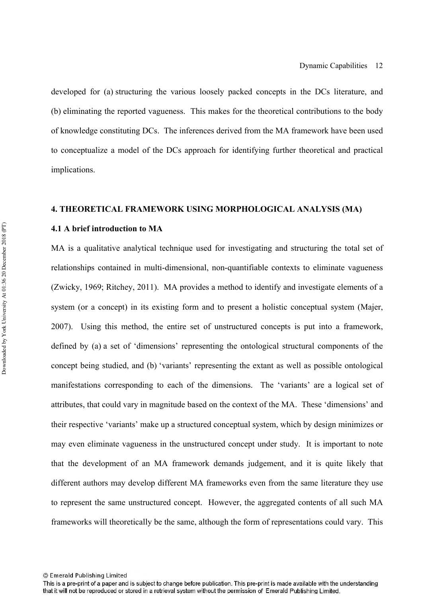developed for (a) structuring the various loosely packed concepts in the DCs literature, and (b) eliminating the reported vagueness. This makes for the theoretical contributions to the body of knowledge constituting DCs. The inferences derived from the MA framework have been used to conceptualize a model of the DCs approach for identifying further theoretical and practical implications.

#### **4. THEORETICAL FRAMEWORK USING MORPHOLOGICAL ANALYSIS (MA)**

#### **4.1 A brief introduction to MA**

MA is a qualitative analytical technique used for investigating and structuring the total set of relationships contained in multi-dimensional, non-quantifiable contexts to eliminate vagueness (Zwicky, 1969; Ritchey, 2011). MA provides a method to identify and investigate elements of a system (or a concept) in its existing form and to present a holistic conceptual system (Majer, 2007). Using this method, the entire set of unstructured concepts is put into a framework, defined by (a) a set of 'dimensions' representing the ontological structural components of the concept being studied, and (b) 'variants' representing the extant as well as possible ontological manifestations corresponding to each of the dimensions. The 'variants' are a logical set of attributes, that could vary in magnitude based on the context of the MA. These 'dimensions' and their respective 'variants' make up a structured conceptual system, which by design minimizes or may even eliminate vagueness in the unstructured concept under study. It is important to note that the development of an MA framework demands judgement, and it is quite likely that different authors may develop different MA frameworks even from the same literature they use to represent the same unstructured concept. However, the aggregated contents of all such MA frameworks will theoretically be the same, although the form of representations could vary. This

<sup>©</sup> Emerald Publishing Limited

This is a pre-print of a paper and is subject to change before publication. This pre-print is made available with the understanding that it will not be reproduced or stored in a retrieval system without the permission of Emerald Publishing Limited.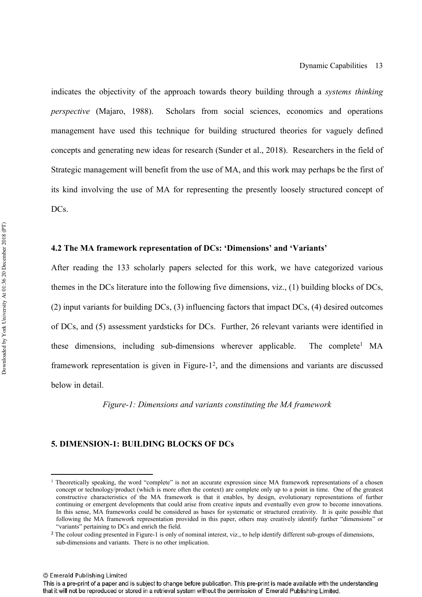indicates the objectivity of the approach towards theory building through a *systems thinking perspective* (Majaro, 1988). Scholars from social sciences, economics and operations management have used this technique for building structured theories for vaguely defined concepts and generating new ideas for research (Sunder et al., 2018). Researchers in the field of Strategic management will benefit from the use of MA, and this work may perhaps be the first of its kind involving the use of MA for representing the presently loosely structured concept of DC<sub>s</sub>.

#### **4.2 The MA framework representation of DCs: 'Dimensions' and 'Variants'**

After reading the 133 scholarly papers selected for this work, we have categorized various themes in the DCs literature into the following five dimensions, viz., (1) building blocks of DCs, (2) input variants for building DCs, (3) influencing factors that impact DCs, (4) desired outcomes of DCs, and (5) assessment yardsticks for DCs. Further, 26 relevant variants were identified in these dimensions, including sub-dimensions wherever applicable. The complete<sup>1</sup>  $MA$ framework representation is given in Figure-1<sup>2</sup>, and the dimensions and variants are discussed below in detail.

*Figure-1: Dimensions and variants constituting the MA framework*

#### **5. DIMENSION-1: BUILDING BLOCKS OF DCs**

© Emerald Publishing Limited

<sup>&</sup>lt;sup>1</sup> Theoretically speaking, the word "complete" is not an accurate expression since MA framework representations of a chosen concept or technology/product (which is more often the context) are complete only up to a point in time. One of the greatest constructive characteristics of the MA framework is that it enables, by design, evolutionary representations of further continuing or emergent developments that could arise from creative inputs and eventually even grow to become innovations. In this sense, MA frameworks could be considered as bases for systematic or structured creativity. It is quite possible that following the MA framework representation provided in this paper, others may creatively identify further "dimensions" or "variants" pertaining to DCs and enrich the field.

<sup>2</sup> The colour coding presented in Figure-1 is only of nominal interest, viz., to help identify different sub-groups of dimensions, sub-dimensions and variants. There is no other implication.

This is a pre-print of a paper and is subject to change before publication. This pre-print is made available with the understanding that it will not be reproduced or stored in a retrieval system without the permission of Emerald Publishing Limited.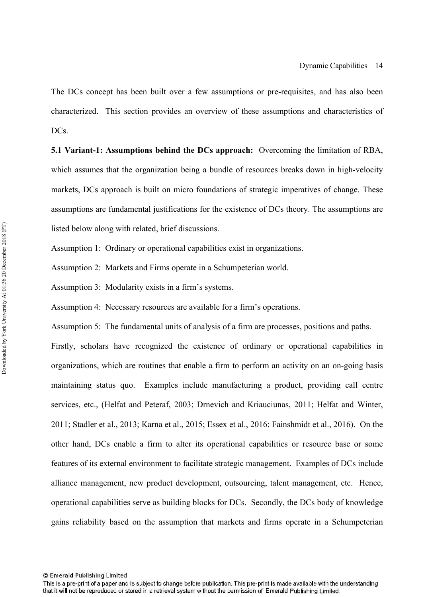The DCs concept has been built over a few assumptions or pre-requisites, and has also been characterized. This section provides an overview of these assumptions and characteristics of D<sub>Cs</sub>

**5.1 Variant-1: Assumptions behind the DCs approach:** Overcoming the limitation of RBA, which assumes that the organization being a bundle of resources breaks down in high-velocity markets, DCs approach is built on micro foundations of strategic imperatives of change. These assumptions are fundamental justifications for the existence of DCs theory. The assumptions are listed below along with related, brief discussions.

Assumption 1: Ordinary or operational capabilities exist in organizations.

Assumption 2: Markets and Firms operate in a Schumpeterian world.

Assumption 3: Modularity exists in a firm's systems.

Assumption 4: Necessary resources are available for a firm's operations.

Assumption 5: The fundamental units of analysis of a firm are processes, positions and paths.

Firstly, scholars have recognized the existence of ordinary or operational capabilities in organizations, which are routines that enable a firm to perform an activity on an on-going basis maintaining status quo. Examples include manufacturing a product, providing call centre services, etc., (Helfat and Peteraf, 2003; Drnevich and Kriauciunas, 2011; Helfat and Winter, 2011; Stadler et al., 2013; Karna et al., 2015; Essex et al., 2016; Fainshmidt et al., 2016). On the other hand, DCs enable a firm to alter its operational capabilities or resource base or some features of its external environment to facilitate strategic management. Examples of DCs include alliance management, new product development, outsourcing, talent management, etc. Hence, operational capabilities serve as building blocks for DCs. Secondly, the DCs body of knowledge gains reliability based on the assumption that markets and firms operate in a Schumpeterian

<sup>©</sup> Emerald Publishing Limited

This is a pre-print of a paper and is subject to change before publication. This pre-print is made available with the understanding that it will not be reproduced or stored in a retrieval system without the permission of Emerald Publishing Limited.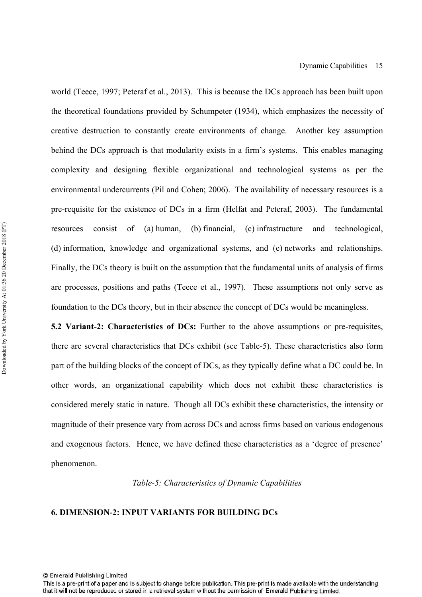world (Teece, 1997; Peteraf et al., 2013). This is because the DCs approach has been built upon the theoretical foundations provided by Schumpeter (1934), which emphasizes the necessity of creative destruction to constantly create environments of change. Another key assumption behind the DCs approach is that modularity exists in a firm's systems. This enables managing complexity and designing flexible organizational and technological systems as per the environmental undercurrents (Pil and Cohen; 2006). The availability of necessary resources is a pre-requisite for the existence of DCs in a firm (Helfat and Peteraf, 2003). The fundamental resources consist of (a) human, (b) financial, (c) infrastructure and technological, (d) information, knowledge and organizational systems, and (e) networks and relationships. Finally, the DCs theory is built on the assumption that the fundamental units of analysis of firms are processes, positions and paths (Teece et al., 1997). These assumptions not only serve as foundation to the DCs theory, but in their absence the concept of DCs would be meaningless.

**5.2 Variant-2: Characteristics of DCs:** Further to the above assumptions or pre-requisites, there are several characteristics that DCs exhibit (see Table-5). These characteristics also form part of the building blocks of the concept of DCs, as they typically define what a DC could be. In other words, an organizational capability which does not exhibit these characteristics is considered merely static in nature. Though all DCs exhibit these characteristics, the intensity or magnitude of their presence vary from across DCs and across firms based on various endogenous and exogenous factors. Hence, we have defined these characteristics as a 'degree of presence' phenomenon.

*Table-5: Characteristics of Dynamic Capabilities*

#### **6. DIMENSION-2: INPUT VARIANTS FOR BUILDING DCs**

© Emerald Publishing Limited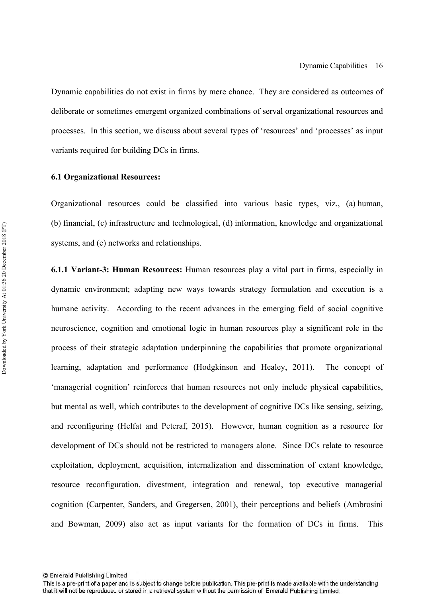Dynamic capabilities do not exist in firms by mere chance. They are considered as outcomes of deliberate or sometimes emergent organized combinations of serval organizational resources and processes. In this section, we discuss about several types of 'resources' and 'processes' as input variants required for building DCs in firms.

#### **6.1 Organizational Resources:**

Organizational resources could be classified into various basic types, viz., (a) human, (b) financial, (c) infrastructure and technological, (d) information, knowledge and organizational systems, and (e) networks and relationships.

**6.1.1 Variant-3: Human Resources:** Human resources play a vital part in firms, especially in dynamic environment; adapting new ways towards strategy formulation and execution is a humane activity. According to the recent advances in the emerging field of social cognitive neuroscience, cognition and emotional logic in human resources play a significant role in the process of their strategic adaptation underpinning the capabilities that promote organizational learning, adaptation and performance (Hodgkinson and Healey, 2011). The concept of 'managerial cognition' reinforces that human resources not only include physical capabilities, but mental as well, which contributes to the development of cognitive DCs like sensing, seizing, and reconfiguring (Helfat and Peteraf, 2015). However, human cognition as a resource for development of DCs should not be restricted to managers alone. Since DCs relate to resource exploitation, deployment, acquisition, internalization and dissemination of extant knowledge, resource reconfiguration, divestment, integration and renewal, top executive managerial cognition (Carpenter, Sanders, and Gregersen, 2001), their perceptions and beliefs (Ambrosini and Bowman, 2009) also act as input variants for the formation of DCs in firms. This

<sup>©</sup> Emerald Publishing Limited

This is a pre-print of a paper and is subject to change before publication. This pre-print is made available with the understanding that it will not be reproduced or stored in a retrieval system without the permission of Emerald Publishing Limited.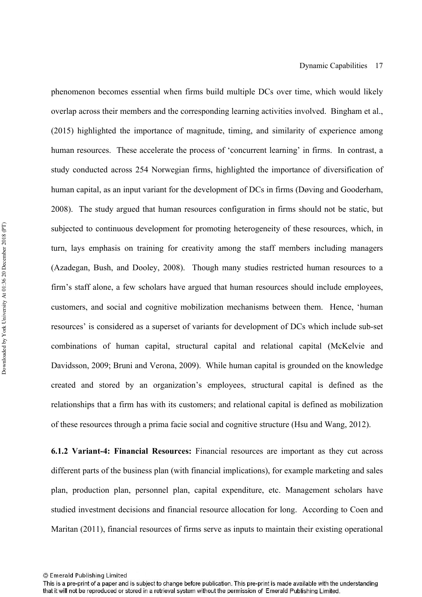phenomenon becomes essential when firms build multiple DCs over time, which would likely overlap across their members and the corresponding learning activities involved. Bingham et al., (2015) highlighted the importance of magnitude, timing, and similarity of experience among human resources. These accelerate the process of 'concurrent learning' in firms. In contrast, a study conducted across 254 Norwegian firms, highlighted the importance of diversification of human capital, as an input variant for the development of DCs in firms (Døving and Gooderham, 2008). The study argued that human resources configuration in firms should not be static, but subjected to continuous development for promoting heterogeneity of these resources, which, in turn, lays emphasis on training for creativity among the staff members including managers (Azadegan, Bush, and Dooley, 2008). Though many studies restricted human resources to a firm's staff alone, a few scholars have argued that human resources should include employees, customers, and social and cognitive mobilization mechanisms between them. Hence, 'human resources' is considered as a superset of variants for development of DCs which include sub-set combinations of human capital, structural capital and relational capital (McKelvie and Davidsson, 2009; Bruni and Verona, 2009). While human capital is grounded on the knowledge created and stored by an organization's employees, structural capital is defined as the relationships that a firm has with its customers; and relational capital is defined as mobilization of these resources through a prima facie social and cognitive structure (Hsu and Wang, 2012).

**6.1.2 Variant-4: Financial Resources:** Financial resources are important as they cut across different parts of the business plan (with financial implications), for example marketing and sales plan, production plan, personnel plan, capital expenditure, etc. Management scholars have studied investment decisions and financial resource allocation for long. According to Coen and Maritan (2011), financial resources of firms serve as inputs to maintain their existing operational

<sup>©</sup> Emerald Publishing Limited

This is a pre-print of a paper and is subject to change before publication. This pre-print is made available with the understanding that it will not be reproduced or stored in a retrieval system without the permission of Emerald Publishing Limited.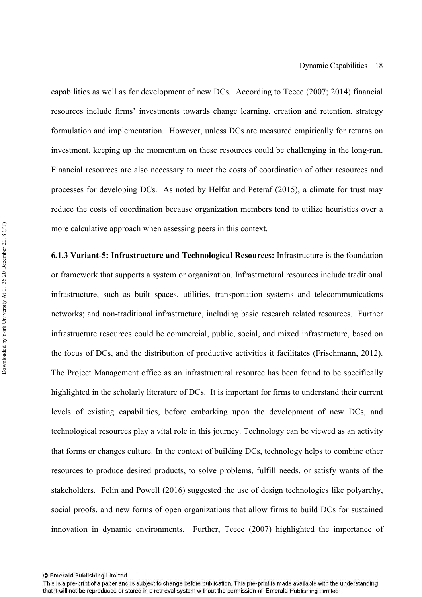capabilities as well as for development of new DCs. According to Teece (2007; 2014) financial resources include firms' investments towards change learning, creation and retention, strategy formulation and implementation. However, unless DCs are measured empirically for returns on investment, keeping up the momentum on these resources could be challenging in the long-run. Financial resources are also necessary to meet the costs of coordination of other resources and processes for developing DCs. As noted by Helfat and Peteraf (2015), a climate for trust may reduce the costs of coordination because organization members tend to utilize heuristics over a more calculative approach when assessing peers in this context.

**6.1.3 Variant-5: Infrastructure and Technological Resources:** Infrastructure is the foundation or framework that supports a system or organization. Infrastructural resources include traditional infrastructure, such as built spaces, utilities, transportation systems and telecommunications networks; and non-traditional infrastructure, including basic research related resources. Further infrastructure resources could be commercial, public, social, and mixed infrastructure, based on the focus of DCs, and the distribution of productive activities it facilitates (Frischmann, 2012). The Project Management office as an infrastructural resource has been found to be specifically highlighted in the scholarly literature of DCs. It is important for firms to understand their current levels of existing capabilities, before embarking upon the development of new DCs, and technological resources play a vital role in this journey. Technology can be viewed as an activity that forms or changes culture. In the context of building DCs, technology helps to combine other resources to produce desired products, to solve problems, fulfill needs, or satisfy wants of the stakeholders. Felin and Powell (2016) suggested the use of design technologies like polyarchy, social proofs, and new forms of open organizations that allow firms to build DCs for sustained innovation in dynamic environments. Further, Teece (2007) highlighted the importance of

<sup>©</sup> Emerald Publishing Limited

This is a pre-print of a paper and is subject to change before publication. This pre-print is made available with the understanding that it will not be reproduced or stored in a retrieval system without the permission of Emerald Publishing Limited.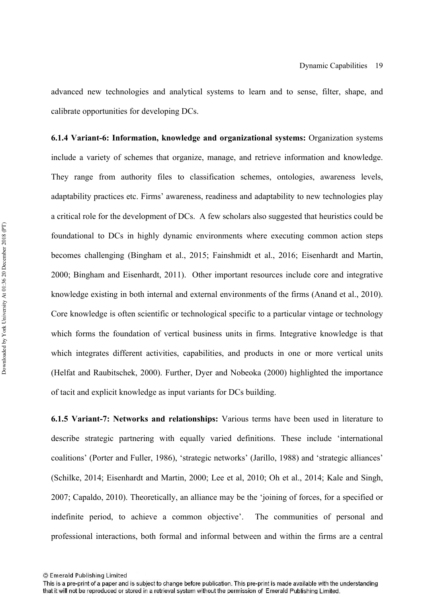advanced new technologies and analytical systems to learn and to sense, filter, shape, and calibrate opportunities for developing DCs.

**6.1.4 Variant-6: Information, knowledge and organizational systems:** Organization systems include a variety of schemes that organize, manage, and retrieve information and knowledge. They range from authority files to classification schemes, ontologies, awareness levels, adaptability practices etc. Firms' awareness, readiness and adaptability to new technologies play a critical role for the development of DCs. A few scholars also suggested that heuristics could be foundational to DCs in highly dynamic environments where executing common action steps becomes challenging (Bingham et al., 2015; Fainshmidt et al., 2016; Eisenhardt and Martin, 2000; Bingham and Eisenhardt, 2011). Other important resources include core and integrative knowledge existing in both internal and external environments of the firms (Anand et al., 2010). Core knowledge is often scientific or technological specific to a particular vintage or technology which forms the foundation of vertical business units in firms. Integrative knowledge is that which integrates different activities, capabilities, and products in one or more vertical units (Helfat and Raubitschek, 2000). Further, Dyer and Nobeoka (2000) highlighted the importance of tacit and explicit knowledge as input variants for DCs building.

**6.1.5 Variant-7: Networks and relationships:** Various terms have been used in literature to describe strategic partnering with equally varied definitions. These include 'international coalitions' (Porter and Fuller, 1986), 'strategic networks' (Jarillo, 1988) and 'strategic alliances' (Schilke, 2014; Eisenhardt and Martin, 2000; Lee et al, 2010; Oh et al., 2014; Kale and Singh, 2007; Capaldo, 2010). Theoretically, an alliance may be the 'joining of forces, for a specified or indefinite period, to achieve a common objective'. The communities of personal and professional interactions, both formal and informal between and within the firms are a central

<sup>©</sup> Emerald Publishing Limited

This is a pre-print of a paper and is subject to change before publication. This pre-print is made available with the understanding that it will not be reproduced or stored in a retrieval system without the permission of Emerald Publishing Limited.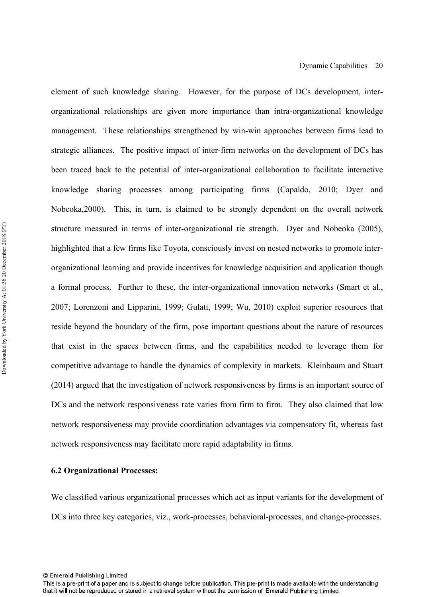element of such knowledge sharing. However, for the purpose of DCs development, interorganizational relationships are given more importance than intra-organizational knowledge management. These relationships strengthened by win-win approaches between firms lead to strategic alliances. The positive impact of inter-firm networks on the development of DCs has been traced back to the potential of inter-organizational collaboration to facilitate interactive knowledge sharing processes among participating firms (Capaldo, 2010; Dyer and Nobeoka,2000). This, in turn, is claimed to be strongly dependent on the overall network structure measured in terms of inter-organizational tie strength. Dyer and Nobeoka (2005), highlighted that a few firms like Toyota, consciously invest on nested networks to promote interorganizational learning and provide incentives for knowledge acquisition and application though a formal process. Further to these, the inter-organizational innovation networks (Smart et al., 2007; Lorenzoni and Lipparini, 1999; Gulati, 1999; Wu, 2010) exploit superior resources that reside beyond the boundary of the firm, pose important questions about the nature of resources that exist in the spaces between firms, and the capabilities needed to leverage them for competitive advantage to handle the dynamics of complexity in markets. Kleinbaum and Stuart (2014) argued that the investigation of network responsiveness by firms is an important source of DCs and the network responsiveness rate varies from firm to firm. They also claimed that low network responsiveness may provide coordination advantages via compensatory fit, whereas fast network responsiveness may facilitate more rapid adaptability in firms.

#### **6.2 Organizational Processes:**

We classified various organizational processes which act as input variants for the development of DCs into three key categories, viz., work-processes, behavioral-processes, and change-processes.

© Emerald Publishing Limited

This is a pre-print of a paper and is subject to change before publication. This pre-print is made available with the understanding that it will not be reproduced or stored in a retrieval system without the permission of Emerald Publishing Limited.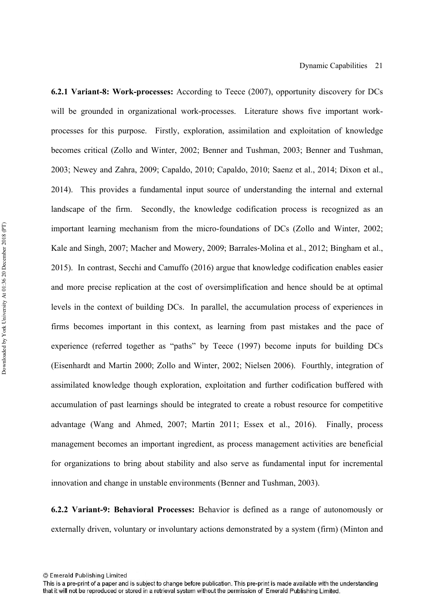**6.2.1 Variant-8: Work-processes:** According to Teece (2007), opportunity discovery for DCs will be grounded in organizational work-processes. Literature shows five important workprocesses for this purpose. Firstly, exploration, assimilation and exploitation of knowledge becomes critical (Zollo and Winter, 2002; Benner and Tushman, 2003; Benner and Tushman, 2003; Newey and Zahra, 2009; Capaldo, 2010; Capaldo, 2010; Saenz et al., 2014; Dixon et al., 2014). This provides a fundamental input source of understanding the internal and external landscape of the firm. Secondly, the knowledge codification process is recognized as an important learning mechanism from the micro-foundations of DCs (Zollo and Winter, 2002; Kale and Singh, 2007; Macher and Mowery, 2009; Barrales-Molina et al., 2012; Bingham et al., 2015). In contrast, Secchi and Camuffo (2016) argue that knowledge codification enables easier and more precise replication at the cost of oversimplification and hence should be at optimal levels in the context of building DCs. In parallel, the accumulation process of experiences in firms becomes important in this context, as learning from past mistakes and the pace of experience (referred together as "paths" by Teece (1997) become inputs for building DCs (Eisenhardt and Martin 2000; Zollo and Winter, 2002; Nielsen 2006). Fourthly, integration of assimilated knowledge though exploration, exploitation and further codification buffered with accumulation of past learnings should be integrated to create a robust resource for competitive advantage (Wang and Ahmed, 2007; Martin 2011; Essex et al., 2016). Finally, process management becomes an important ingredient, as process management activities are beneficial for organizations to bring about stability and also serve as fundamental input for incremental innovation and change in unstable environments (Benner and Tushman, 2003).

**6.2.2 Variant-9: Behavioral Processes:** Behavior is defined as a range of autonomously or externally driven, voluntary or involuntary actions demonstrated by a system (firm) (Minton and

<sup>©</sup> Emerald Publishing Limited

This is a pre-print of a paper and is subject to change before publication. This pre-print is made available with the understanding that it will not be reproduced or stored in a retrieval system without the permission of Emerald Publishing Limited.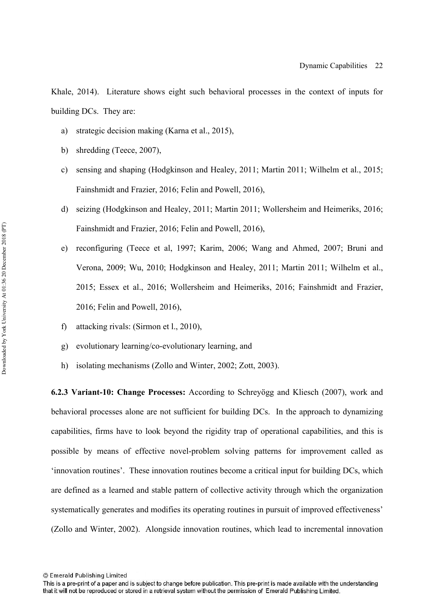Khale, 2014). Literature shows eight such behavioral processes in the context of inputs for building DCs. They are:

- a) strategic decision making (Karna et al., 2015),
- b) shredding (Teece, 2007),
- c) sensing and shaping (Hodgkinson and Healey, 2011; Martin 2011; Wilhelm et al., 2015; Fainshmidt and Frazier, 2016; Felin and Powell, 2016),
- d) seizing (Hodgkinson and Healey, 2011; Martin 2011; Wollersheim and Heimeriks, 2016; Fainshmidt and Frazier, 2016; Felin and Powell, 2016),
- e) reconfiguring (Teece et al, 1997; Karim, 2006; Wang and Ahmed, 2007; Bruni and Verona, 2009; Wu, 2010; Hodgkinson and Healey, 2011; Martin 2011; Wilhelm et al., 2015; Essex et al., 2016; Wollersheim and Heimeriks, 2016; Fainshmidt and Frazier, 2016; Felin and Powell, 2016),
- f) attacking rivals: (Sirmon et l., 2010),
- g) evolutionary learning/co-evolutionary learning, and
- h) isolating mechanisms (Zollo and Winter, 2002; Zott, 2003).

**6.2.3 Variant-10: Change Processes:** According to Schreyögg and Kliesch (2007), work and behavioral processes alone are not sufficient for building DCs. In the approach to dynamizing capabilities, firms have to look beyond the rigidity trap of operational capabilities, and this is possible by means of effective novel-problem solving patterns for improvement called as 'innovation routines'. These innovation routines become a critical input for building DCs, which are defined as a learned and stable pattern of collective activity through which the organization systematically generates and modifies its operating routines in pursuit of improved effectiveness' (Zollo and Winter, 2002). Alongside innovation routines, which lead to incremental innovation

<sup>©</sup> Emerald Publishing Limited

This is a pre-print of a paper and is subject to change before publication. This pre-print is made available with the understanding that it will not be reproduced or stored in a retrieval system without the permission of Emerald Publishing Limited.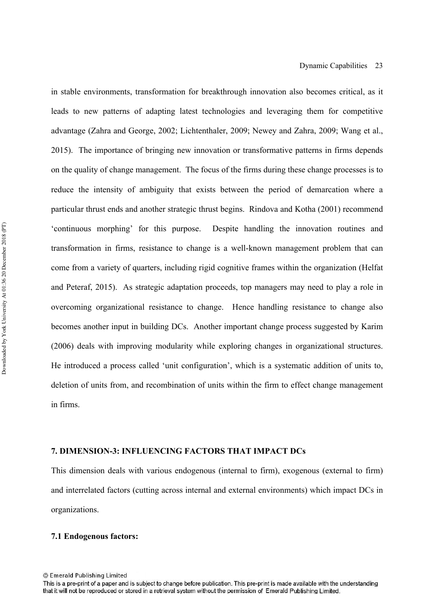in stable environments, transformation for breakthrough innovation also becomes critical, as it leads to new patterns of adapting latest technologies and leveraging them for competitive advantage (Zahra and George, 2002; Lichtenthaler, 2009; Newey and Zahra, 2009; Wang et al., 2015). The importance of bringing new innovation or transformative patterns in firms depends on the quality of change management. The focus of the firms during these change processes is to reduce the intensity of ambiguity that exists between the period of demarcation where a particular thrust ends and another strategic thrust begins. Rindova and Kotha (2001) recommend 'continuous morphing' for this purpose. Despite handling the innovation routines and transformation in firms, resistance to change is a well-known management problem that can come from a variety of quarters, including rigid cognitive frames within the organization (Helfat and Peteraf, 2015). As strategic adaptation proceeds, top managers may need to play a role in overcoming organizational resistance to change. Hence handling resistance to change also becomes another input in building DCs. Another important change process suggested by Karim (2006) deals with improving modularity while exploring changes in organizational structures. He introduced a process called 'unit configuration', which is a systematic addition of units to, deletion of units from, and recombination of units within the firm to effect change management in firms.

#### **7. DIMENSION-3: INFLUENCING FACTORS THAT IMPACT DCs**

This dimension deals with various endogenous (internal to firm), exogenous (external to firm) and interrelated factors (cutting across internal and external environments) which impact DCs in organizations.

#### **7.1 Endogenous factors:**

<sup>©</sup> Emerald Publishing Limited

This is a pre-print of a paper and is subject to change before publication. This pre-print is made available with the understanding that it will not be reproduced or stored in a retrieval system without the permission of Emerald Publishing Limited.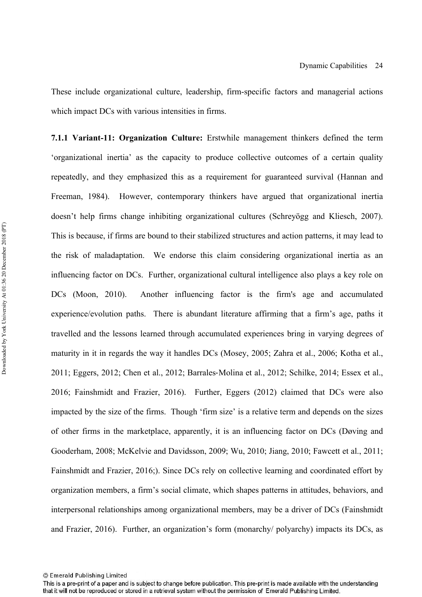These include organizational culture, leadership, firm-specific factors and managerial actions which impact DCs with various intensities in firms.

**7.1.1 Variant-11: Organization Culture:** Erstwhile management thinkers defined the term 'organizational inertia' as the capacity to produce collective outcomes of a certain quality repeatedly, and they emphasized this as a requirement for guaranteed survival (Hannan and Freeman, 1984). However, contemporary thinkers have argued that organizational inertia doesn't help firms change inhibiting organizational cultures (Schreyögg and Kliesch, 2007). This is because, if firms are bound to their stabilized structures and action patterns, it may lead to the risk of maladaptation. We endorse this claim considering organizational inertia as an influencing factor on DCs. Further, organizational cultural intelligence also plays a key role on DCs (Moon, 2010). Another influencing factor is the firm's age and accumulated experience/evolution paths. There is abundant literature affirming that a firm's age, paths it travelled and the lessons learned through accumulated experiences bring in varying degrees of maturity in it in regards the way it handles DCs (Mosey, 2005; Zahra et al., 2006; Kotha et al., 2011; Eggers, 2012; Chen et al., 2012; Barrales‐Molina et al., 2012; Schilke, 2014; Essex et al., 2016; Fainshmidt and Frazier, 2016). Further, Eggers (2012) claimed that DCs were also impacted by the size of the firms. Though 'firm size' is a relative term and depends on the sizes of other firms in the marketplace, apparently, it is an influencing factor on DCs (Døving and Gooderham, 2008; McKelvie and Davidsson, 2009; Wu, 2010; Jiang, 2010; Fawcett et al., 2011; Fainshmidt and Frazier, 2016;). Since DCs rely on collective learning and coordinated effort by organization members, a firm's social climate, which shapes patterns in attitudes, behaviors, and interpersonal relationships among organizational members, may be a driver of DCs (Fainshmidt and Frazier, 2016). Further, an organization's form (monarchy/ polyarchy) impacts its DCs, as

This is a pre-print of a paper and is subject to change before publication. This pre-print is made available with the understanding that it will not be reproduced or stored in a retrieval system without the permission of Emerald Publishing Limited.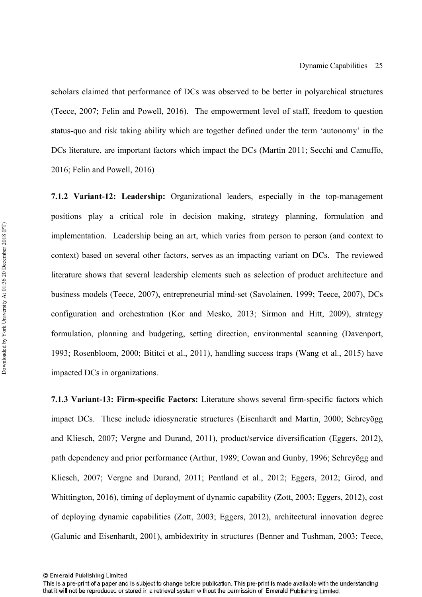scholars claimed that performance of DCs was observed to be better in polyarchical structures (Teece, 2007; Felin and Powell, 2016). The empowerment level of staff, freedom to question status-quo and risk taking ability which are together defined under the term 'autonomy' in the DCs literature, are important factors which impact the DCs (Martin 2011; Secchi and Camuffo, 2016; Felin and Powell, 2016)

**7.1.2 Variant-12: Leadership:** Organizational leaders, especially in the top-management positions play a critical role in decision making, strategy planning, formulation and implementation. Leadership being an art, which varies from person to person (and context to context) based on several other factors, serves as an impacting variant on DCs. The reviewed literature shows that several leadership elements such as selection of product architecture and business models (Teece, 2007), entrepreneurial mind-set (Savolainen, 1999; Teece, 2007), DCs configuration and orchestration (Kor and Mesko, 2013; Sirmon and Hitt, 2009), strategy formulation, planning and budgeting, setting direction, environmental scanning (Davenport, 1993; Rosenbloom, 2000; Bititci et al., 2011), handling success traps (Wang et al., 2015) have impacted DCs in organizations.

**7.1.3 Variant-13: Firm-specific Factors:** Literature shows several firm-specific factors which impact DCs. These include idiosyncratic structures (Eisenhardt and Martin, 2000; Schreyögg and Kliesch, 2007; Vergne and Durand, 2011), product/service diversification (Eggers, 2012), path dependency and prior performance (Arthur, 1989; Cowan and Gunby, 1996; Schreyögg and Kliesch, 2007; Vergne and Durand, 2011; Pentland et al., 2012; Eggers, 2012; Girod, and Whittington, 2016), timing of deployment of dynamic capability (Zott, 2003; Eggers, 2012), cost of deploying dynamic capabilities (Zott, 2003; Eggers, 2012), architectural innovation degree (Galunic and Eisenhardt, 2001), ambidextrity in structures (Benner and Tushman, 2003; Teece,

<sup>©</sup> Emerald Publishing Limited

This is a pre-print of a paper and is subject to change before publication. This pre-print is made available with the understanding that it will not be reproduced or stored in a retrieval system without the permission of Emerald Publishing Limited.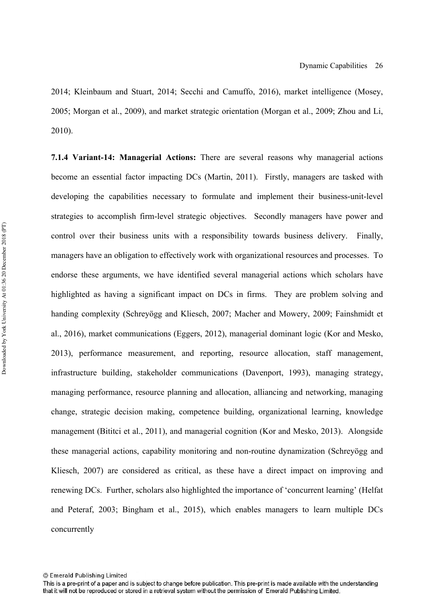2014; Kleinbaum and Stuart, 2014; Secchi and Camuffo, 2016), market intelligence (Mosey, 2005; Morgan et al., 2009), and market strategic orientation (Morgan et al., 2009; Zhou and Li, 2010).

**7.1.4 Variant-14: Managerial Actions:** There are several reasons why managerial actions become an essential factor impacting DCs (Martin, 2011). Firstly, managers are tasked with developing the capabilities necessary to formulate and implement their business-unit-level strategies to accomplish firm-level strategic objectives. Secondly managers have power and control over their business units with a responsibility towards business delivery. Finally, managers have an obligation to effectively work with organizational resources and processes. To endorse these arguments, we have identified several managerial actions which scholars have highlighted as having a significant impact on DCs in firms. They are problem solving and handing complexity (Schreyögg and Kliesch, 2007; Macher and Mowery, 2009; Fainshmidt et al., 2016), market communications (Eggers, 2012), managerial dominant logic (Kor and Mesko, 2013), performance measurement, and reporting, resource allocation, staff management, infrastructure building, stakeholder communications (Davenport, 1993), managing strategy, managing performance, resource planning and allocation, alliancing and networking, managing change, strategic decision making, competence building, organizational learning, knowledge management (Bititci et al., 2011), and managerial cognition (Kor and Mesko, 2013). Alongside these managerial actions, capability monitoring and non-routine dynamization (Schreyögg and Kliesch, 2007) are considered as critical, as these have a direct impact on improving and renewing DCs. Further, scholars also highlighted the importance of 'concurrent learning' (Helfat and Peteraf, 2003; Bingham et al., 2015), which enables managers to learn multiple DCs concurrently

<sup>©</sup> Emerald Publishing Limited

This is a pre-print of a paper and is subject to change before publication. This pre-print is made available with the understanding that it will not be reproduced or stored in a retrieval system without the permission of Emerald Publishing Limited.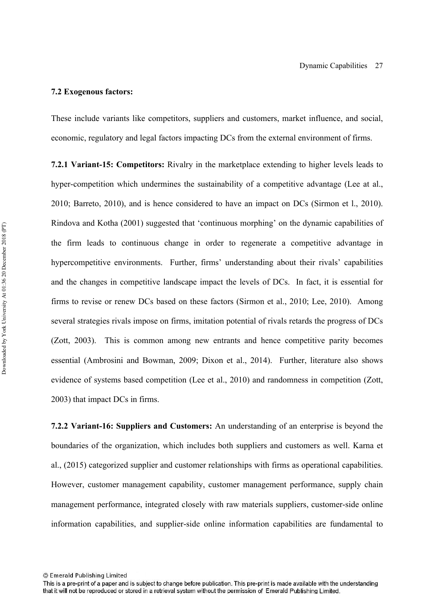#### **7.2 Exogenous factors:**

These include variants like competitors, suppliers and customers, market influence, and social, economic, regulatory and legal factors impacting DCs from the external environment of firms.

**7.2.1 Variant-15: Competitors:** Rivalry in the marketplace extending to higher levels leads to hyper-competition which undermines the sustainability of a competitive advantage (Lee at al., 2010; Barreto, 2010), and is hence considered to have an impact on DCs (Sirmon et l., 2010). Rindova and Kotha (2001) suggested that 'continuous morphing' on the dynamic capabilities of the firm leads to continuous change in order to regenerate a competitive advantage in hypercompetitive environments. Further, firms' understanding about their rivals' capabilities and the changes in competitive landscape impact the levels of DCs. In fact, it is essential for firms to revise or renew DCs based on these factors (Sirmon et al., 2010; Lee, 2010). Among several strategies rivals impose on firms, imitation potential of rivals retards the progress of DCs (Zott, 2003). This is common among new entrants and hence competitive parity becomes essential (Ambrosini and Bowman, 2009; Dixon et al., 2014). Further, literature also shows evidence of systems based competition (Lee et al., 2010) and randomness in competition (Zott, 2003) that impact DCs in firms.

**7.2.2 Variant-16: Suppliers and Customers:** An understanding of an enterprise is beyond the boundaries of the organization, which includes both suppliers and customers as well. Karna et al., (2015) categorized supplier and customer relationships with firms as operational capabilities. However, customer management capability, customer management performance, supply chain management performance, integrated closely with raw materials suppliers, customer-side online information capabilities, and supplier-side online information capabilities are fundamental to

<sup>©</sup> Emerald Publishing Limited

This is a pre-print of a paper and is subject to change before publication. This pre-print is made available with the understanding that it will not be reproduced or stored in a retrieval system without the permission of Emerald Publishing Limited.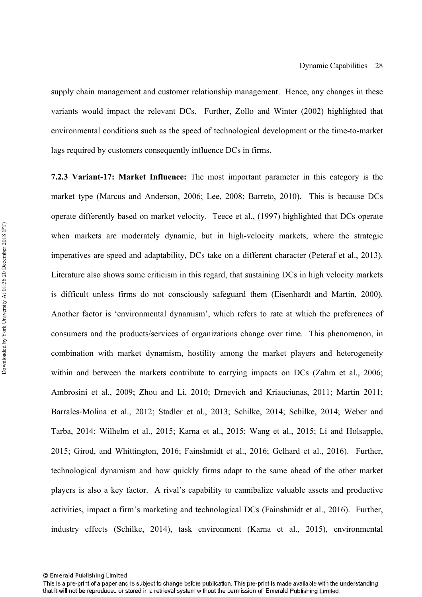supply chain management and customer relationship management. Hence, any changes in these variants would impact the relevant DCs. Further, Zollo and Winter (2002) highlighted that environmental conditions such as the speed of technological development or the time-to-market lags required by customers consequently influence DCs in firms.

**7.2.3 Variant-17: Market Influence:** The most important parameter in this category is the market type (Marcus and Anderson, 2006; Lee, 2008; Barreto, 2010). This is because DCs operate differently based on market velocity. Teece et al., (1997) highlighted that DCs operate when markets are moderately dynamic, but in high-velocity markets, where the strategic imperatives are speed and adaptability, DCs take on a different character (Peteraf et al., 2013). Literature also shows some criticism in this regard, that sustaining DCs in high velocity markets is difficult unless firms do not consciously safeguard them (Eisenhardt and Martin, 2000). Another factor is 'environmental dynamism', which refers to rate at which the preferences of consumers and the products/services of organizations change over time. This phenomenon, in combination with market dynamism, hostility among the market players and heterogeneity within and between the markets contribute to carrying impacts on DCs (Zahra et al., 2006; Ambrosini et al., 2009; Zhou and Li, 2010; Drnevich and Kriauciunas, 2011; Martin 2011; Barrales‐Molina et al., 2012; Stadler et al., 2013; Schilke, 2014; Schilke, 2014; Weber and Tarba, 2014; Wilhelm et al., 2015; Karna et al., 2015; Wang et al., 2015; Li and Holsapple, 2015; Girod, and Whittington, 2016; Fainshmidt et al., 2016; Gelhard et al., 2016). Further, technological dynamism and how quickly firms adapt to the same ahead of the other market players is also a key factor. A rival's capability to cannibalize valuable assets and productive activities, impact a firm's marketing and technological DCs (Fainshmidt et al., 2016). Further, industry effects (Schilke, 2014), task environment (Karna et al., 2015), environmental

This is a pre-print of a paper and is subject to change before publication. This pre-print is made available with the understanding that it will not be reproduced or stored in a retrieval system without the permission of Emerald Publishing Limited.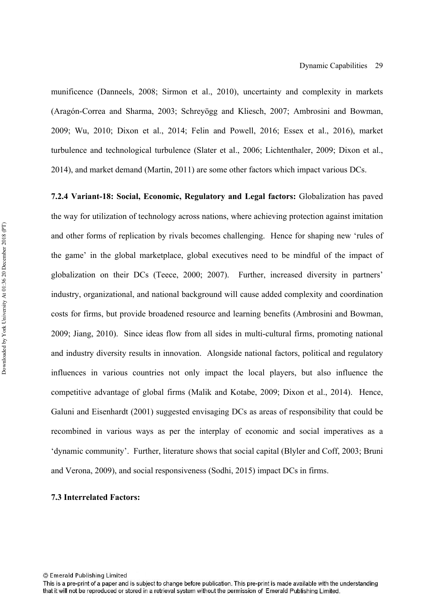munificence (Danneels, 2008; Sirmon et al., 2010), uncertainty and complexity in markets (Aragón-Correa and Sharma, 2003; Schreyögg and Kliesch, 2007; Ambrosini and Bowman, 2009; Wu, 2010; Dixon et al., 2014; Felin and Powell, 2016; Essex et al., 2016), market turbulence and technological turbulence (Slater et al., 2006; Lichtenthaler, 2009; Dixon et al., 2014), and market demand (Martin, 2011) are some other factors which impact various DCs.

**7.2.4 Variant-18: Social, Economic, Regulatory and Legal factors:** Globalization has paved the way for utilization of technology across nations, where achieving protection against imitation and other forms of replication by rivals becomes challenging. Hence for shaping new 'rules of the game' in the global marketplace, global executives need to be mindful of the impact of globalization on their DCs (Teece, 2000; 2007). Further, increased diversity in partners' industry, organizational, and national background will cause added complexity and coordination costs for firms, but provide broadened resource and learning benefits (Ambrosini and Bowman, 2009; Jiang, 2010). Since ideas flow from all sides in multi-cultural firms, promoting national and industry diversity results in innovation. Alongside national factors, political and regulatory influences in various countries not only impact the local players, but also influence the competitive advantage of global firms (Malik and Kotabe, 2009; Dixon et al., 2014). Hence, Galuni and Eisenhardt (2001) suggested envisaging DCs as areas of responsibility that could be recombined in various ways as per the interplay of economic and social imperatives as a 'dynamic community'. Further, literature shows that social capital (Blyler and Coff, 2003; Bruni and Verona, 2009), and social responsiveness (Sodhi, 2015) impact DCs in firms.

#### **7.3 Interrelated Factors:**

<sup>©</sup> Emerald Publishing Limited

This is a pre-print of a paper and is subject to change before publication. This pre-print is made available with the understanding that it will not be reproduced or stored in a retrieval system without the permission of Emerald Publishing Limited.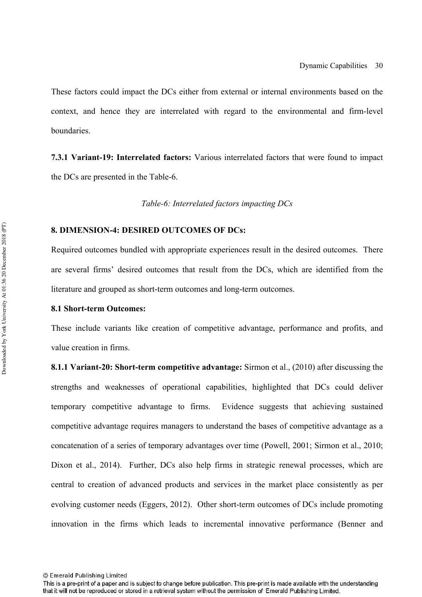These factors could impact the DCs either from external or internal environments based on the context, and hence they are interrelated with regard to the environmental and firm-level boundaries.

**7.3.1 Variant-19: Interrelated factors:** Various interrelated factors that were found to impact the DCs are presented in the Table-6.

*Table-6: Interrelated factors impacting DCs*

#### **8. DIMENSION-4: DESIRED OUTCOMES OF DCs:**

Required outcomes bundled with appropriate experiences result in the desired outcomes. There are several firms' desired outcomes that result from the DCs, which are identified from the literature and grouped as short-term outcomes and long-term outcomes.

#### **8.1 Short-term Outcomes:**

These include variants like creation of competitive advantage, performance and profits, and value creation in firms.

**8.1.1 Variant-20: Short-term competitive advantage:** Sirmon et al., (2010) after discussing the strengths and weaknesses of operational capabilities, highlighted that DCs could deliver temporary competitive advantage to firms. Evidence suggests that achieving sustained competitive advantage requires managers to understand the bases of competitive advantage as a concatenation of a series of temporary advantages over time (Powell, 2001; Sirmon et al., 2010; Dixon et al., 2014). Further, DCs also help firms in strategic renewal processes, which are central to creation of advanced products and services in the market place consistently as per evolving customer needs (Eggers, 2012). Other short-term outcomes of DCs include promoting innovation in the firms which leads to incremental innovative performance (Benner and

This is a pre-print of a paper and is subject to change before publication. This pre-print is made available with the understanding that it will not be reproduced or stored in a retrieval system without the permission of Emerald Publishing Limited.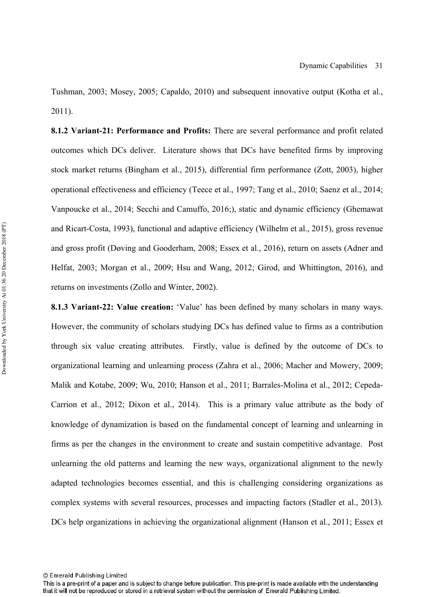Tushman, 2003; Mosey, 2005; Capaldo, 2010) and subsequent innovative output (Kotha et al., 2011).

**8.1.2 Variant-21: Performance and Profits:** There are several performance and profit related outcomes which DCs deliver. Literature shows that DCs have benefited firms by improving stock market returns (Bingham et al., 2015), differential firm performance (Zott, 2003), higher operational effectiveness and efficiency (Teece et al., 1997; Tang et al., 2010; Saenz et al., 2014; Vanpoucke et al., 2014; Secchi and Camuffo, 2016;), static and dynamic efficiency (Ghemawat and Ricart-Costa, 1993), functional and adaptive efficiency (Wilhelm et al., 2015), gross revenue and gross profit (Døving and Gooderham, 2008; Essex et al., 2016), return on assets (Adner and Helfat, 2003; Morgan et al., 2009; Hsu and Wang, 2012; Girod, and Whittington, 2016), and returns on investments (Zollo and Winter, 2002).

**8.1.3 Variant-22: Value creation:** 'Value' has been defined by many scholars in many ways. However, the community of scholars studying DCs has defined value to firms as a contribution through six value creating attributes. Firstly, value is defined by the outcome of DCs to organizational learning and unlearning process (Zahra et al., 2006; Macher and Mowery, 2009; Malik and Kotabe, 2009; Wu, 2010; Hanson et al., 2011; Barrales-Molina et al., 2012; Cepeda-Carrion et al., 2012; Dixon et al., 2014). This is a primary value attribute as the body of knowledge of dynamization is based on the fundamental concept of learning and unlearning in firms as per the changes in the environment to create and sustain competitive advantage. Post unlearning the old patterns and learning the new ways, organizational alignment to the newly adapted technologies becomes essential, and this is challenging considering organizations as complex systems with several resources, processes and impacting factors (Stadler et al., 2013). DCs help organizations in achieving the organizational alignment (Hanson et al., 2011; Essex et

<sup>©</sup> Emerald Publishing Limited

This is a pre-print of a paper and is subject to change before publication. This pre-print is made available with the understanding that it will not be reproduced or stored in a retrieval system without the permission of Emerald Publishing Limited.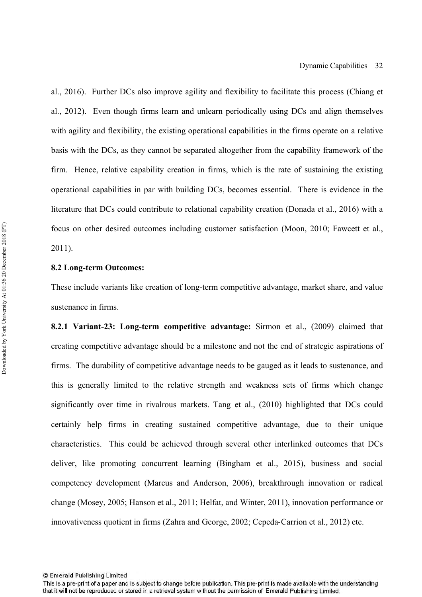al., 2016). Further DCs also improve agility and flexibility to facilitate this process (Chiang et al., 2012). Even though firms learn and unlearn periodically using DCs and align themselves with agility and flexibility, the existing operational capabilities in the firms operate on a relative basis with the DCs, as they cannot be separated altogether from the capability framework of the firm. Hence, relative capability creation in firms, which is the rate of sustaining the existing operational capabilities in par with building DCs, becomes essential. There is evidence in the literature that DCs could contribute to relational capability creation (Donada et al., 2016) with a focus on other desired outcomes including customer satisfaction (Moon, 2010; Fawcett et al., 2011).

#### **8.2 Long-term Outcomes:**

These include variants like creation of long-term competitive advantage, market share, and value sustenance in firms.

**8.2.1 Variant-23: Long-term competitive advantage:** Sirmon et al., (2009) claimed that creating competitive advantage should be a milestone and not the end of strategic aspirations of firms. The durability of competitive advantage needs to be gauged as it leads to sustenance, and this is generally limited to the relative strength and weakness sets of firms which change significantly over time in rivalrous markets. Tang et al., (2010) highlighted that DCs could certainly help firms in creating sustained competitive advantage, due to their unique characteristics. This could be achieved through several other interlinked outcomes that DCs deliver, like promoting concurrent learning (Bingham et al., 2015), business and social competency development (Marcus and Anderson, 2006), breakthrough innovation or radical change (Mosey, 2005; Hanson et al., 2011; Helfat, and Winter, 2011), innovation performance or innovativeness quotient in firms (Zahra and George, 2002; Cepeda‐Carrion et al., 2012) etc.

<sup>©</sup> Emerald Publishing Limited

This is a pre-print of a paper and is subject to change before publication. This pre-print is made available with the understanding that it will not be reproduced or stored in a retrieval system without the permission of Emerald Publishing Limited.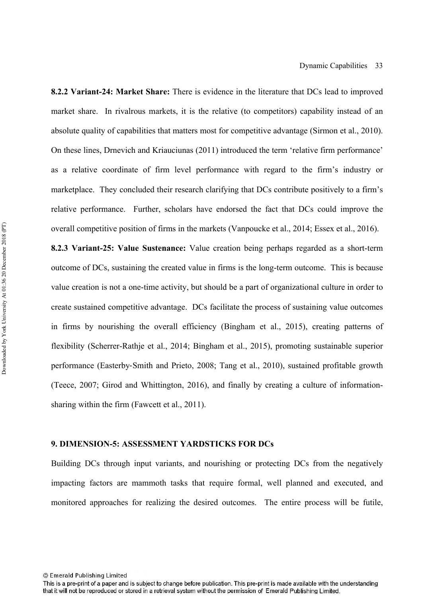**8.2.2 Variant-24: Market Share:** There is evidence in the literature that DCs lead to improved market share. In rivalrous markets, it is the relative (to competitors) capability instead of an absolute quality of capabilities that matters most for competitive advantage (Sirmon et al., 2010). On these lines, Drnevich and Kriauciunas (2011) introduced the term 'relative firm performance' as a relative coordinate of firm level performance with regard to the firm's industry or marketplace. They concluded their research clarifying that DCs contribute positively to a firm's relative performance. Further, scholars have endorsed the fact that DCs could improve the overall competitive position of firms in the markets (Vanpoucke et al., 2014; Essex et al., 2016).

**8.2.3 Variant-25: Value Sustenance:** Value creation being perhaps regarded as a short-term outcome of DCs, sustaining the created value in firms is the long-term outcome. This is because value creation is not a one-time activity, but should be a part of organizational culture in order to create sustained competitive advantage. DCs facilitate the process of sustaining value outcomes in firms by nourishing the overall efficiency (Bingham et al., 2015), creating patterns of flexibility (Scherrer-Rathje et al., 2014; Bingham et al., 2015), promoting sustainable superior performance (Easterby‐Smith and Prieto, 2008; Tang et al., 2010), sustained profitable growth (Teece, 2007; Girod and Whittington, 2016), and finally by creating a culture of informationsharing within the firm (Fawcett et al., 2011).

#### **9. DIMENSION-5: ASSESSMENT YARDSTICKS FOR DCs**

Building DCs through input variants, and nourishing or protecting DCs from the negatively impacting factors are mammoth tasks that require formal, well planned and executed, and monitored approaches for realizing the desired outcomes. The entire process will be futile,

<sup>©</sup> Emerald Publishing Limited

This is a pre-print of a paper and is subject to change before publication. This pre-print is made available with the understanding that it will not be reproduced or stored in a retrieval system without the permission of Emerald Publishing Limited.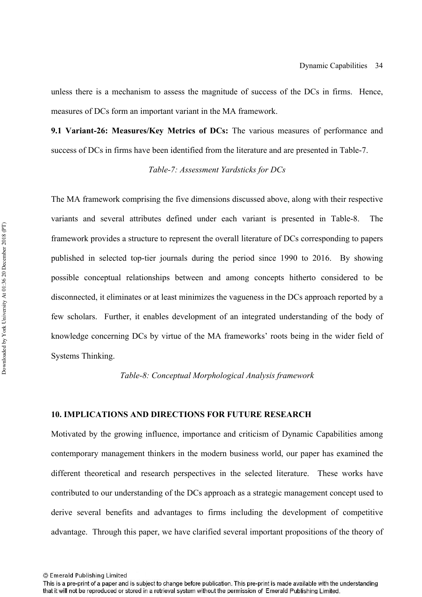unless there is a mechanism to assess the magnitude of success of the DCs in firms. Hence, measures of DCs form an important variant in the MA framework.

**9.1 Variant-26: Measures/Key Metrics of DCs:** The various measures of performance and success of DCs in firms have been identified from the literature and are presented in Table-7.

#### *Table-7: Assessment Yardsticks for DCs*

The MA framework comprising the five dimensions discussed above, along with their respective variants and several attributes defined under each variant is presented in Table-8. The framework provides a structure to represent the overall literature of DCs corresponding to papers published in selected top-tier journals during the period since 1990 to 2016. By showing possible conceptual relationships between and among concepts hitherto considered to be disconnected, it eliminates or at least minimizes the vagueness in the DCs approach reported by a few scholars. Further, it enables development of an integrated understanding of the body of knowledge concerning DCs by virtue of the MA frameworks' roots being in the wider field of Systems Thinking.

*Table-8: Conceptual Morphological Analysis framework*

#### **10. IMPLICATIONS AND DIRECTIONS FOR FUTURE RESEARCH**

Motivated by the growing influence, importance and criticism of Dynamic Capabilities among contemporary management thinkers in the modern business world, our paper has examined the different theoretical and research perspectives in the selected literature. These works have contributed to our understanding of the DCs approach as a strategic management concept used to derive several benefits and advantages to firms including the development of competitive advantage. Through this paper, we have clarified several important propositions of the theory of

<sup>©</sup> Emerald Publishing Limited

This is a pre-print of a paper and is subject to change before publication. This pre-print is made available with the understanding that it will not be reproduced or stored in a retrieval system without the permission of Emerald Publishing Limited.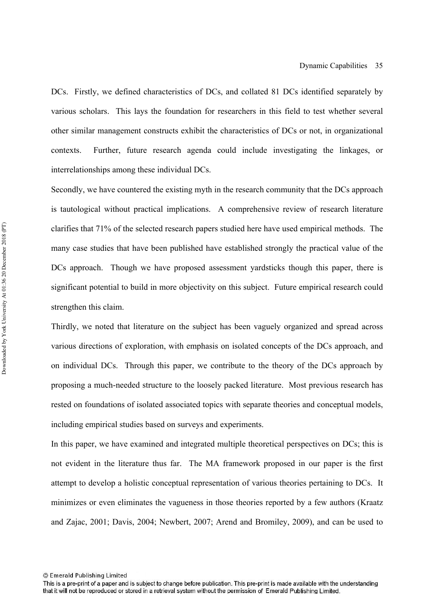DCs. Firstly, we defined characteristics of DCs, and collated 81 DCs identified separately by various scholars. This lays the foundation for researchers in this field to test whether several other similar management constructs exhibit the characteristics of DCs or not, in organizational contexts. Further, future research agenda could include investigating the linkages, or interrelationships among these individual DCs.

Secondly, we have countered the existing myth in the research community that the DCs approach is tautological without practical implications. A comprehensive review of research literature clarifies that 71% of the selected research papers studied here have used empirical methods. The many case studies that have been published have established strongly the practical value of the DCs approach. Though we have proposed assessment yardsticks though this paper, there is significant potential to build in more objectivity on this subject. Future empirical research could strengthen this claim.

Thirdly, we noted that literature on the subject has been vaguely organized and spread across various directions of exploration, with emphasis on isolated concepts of the DCs approach, and on individual DCs. Through this paper, we contribute to the theory of the DCs approach by proposing a much-needed structure to the loosely packed literature. Most previous research has rested on foundations of isolated associated topics with separate theories and conceptual models, including empirical studies based on surveys and experiments.

In this paper, we have examined and integrated multiple theoretical perspectives on DCs; this is not evident in the literature thus far. The MA framework proposed in our paper is the first attempt to develop a holistic conceptual representation of various theories pertaining to DCs. It minimizes or even eliminates the vagueness in those theories reported by a few authors (Kraatz and Zajac, 2001; Davis, 2004; Newbert, 2007; Arend and Bromiley, 2009), and can be used to

<sup>©</sup> Emerald Publishing Limited

This is a pre-print of a paper and is subject to change before publication. This pre-print is made available with the understanding that it will not be reproduced or stored in a retrieval system without the permission of Emerald Publishing Limited.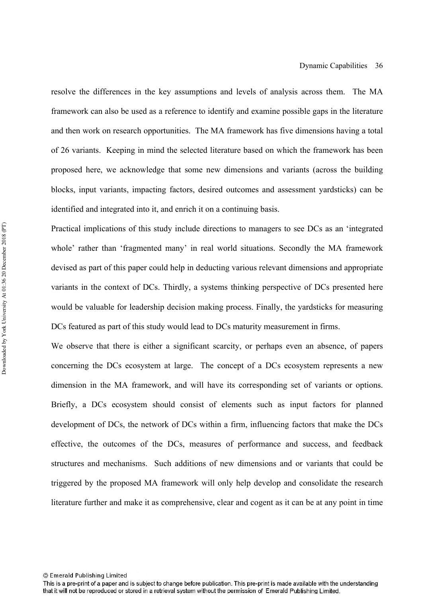resolve the differences in the key assumptions and levels of analysis across them. The MA framework can also be used as a reference to identify and examine possible gaps in the literature and then work on research opportunities. The MA framework has five dimensions having a total of 26 variants. Keeping in mind the selected literature based on which the framework has been proposed here, we acknowledge that some new dimensions and variants (across the building blocks, input variants, impacting factors, desired outcomes and assessment yardsticks) can be identified and integrated into it, and enrich it on a continuing basis.

Practical implications of this study include directions to managers to see DCs as an 'integrated whole' rather than 'fragmented many' in real world situations. Secondly the MA framework devised as part of this paper could help in deducting various relevant dimensions and appropriate variants in the context of DCs. Thirdly, a systems thinking perspective of DCs presented here would be valuable for leadership decision making process. Finally, the yardsticks for measuring DCs featured as part of this study would lead to DCs maturity measurement in firms.

We observe that there is either a significant scarcity, or perhaps even an absence, of papers concerning the DCs ecosystem at large. The concept of a DCs ecosystem represents a new dimension in the MA framework, and will have its corresponding set of variants or options. Briefly, a DCs ecosystem should consist of elements such as input factors for planned development of DCs, the network of DCs within a firm, influencing factors that make the DCs effective, the outcomes of the DCs, measures of performance and success, and feedback structures and mechanisms. Such additions of new dimensions and or variants that could be triggered by the proposed MA framework will only help develop and consolidate the research literature further and make it as comprehensive, clear and cogent as it can be at any point in time

<sup>©</sup> Emerald Publishing Limited

This is a pre-print of a paper and is subject to change before publication. This pre-print is made available with the understanding that it will not be reproduced or stored in a retrieval system without the permission of Emerald Publishing Limited.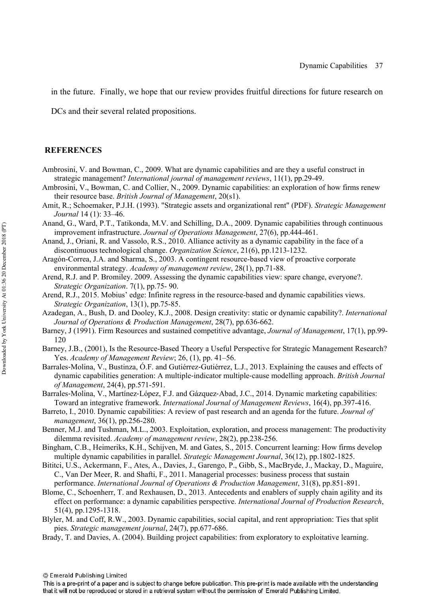in the future. Finally, we hope that our review provides fruitful directions for future research on

DCs and their several related propositions.

#### **REFERENCES**

- Ambrosini, V. and Bowman, C., 2009. What are dynamic capabilities and are they a useful construct in strategic management? *International journal of management reviews*, 11(1), pp.29-49.
- Ambrosini, V., Bowman, C. and Collier, N., 2009. Dynamic capabilities: an exploration of how firms renew their resource base. *British Journal of Management*, 20(s1).
- Amit, R.; Schoemaker, P.J.H. (1993). "Strategic assets and organizational rent" (PDF). *Strategic Management Journal* 14 (1): 33–46.
- Anand, G., Ward, P.T., Tatikonda, M.V. and Schilling, D.A., 2009. Dynamic capabilities through continuous improvement infrastructure. *Journal of Operations Management*, 27(6), pp.444-461.
- Anand, J., Oriani, R. and Vassolo, R.S., 2010. Alliance activity as a dynamic capability in the face of a discontinuous technological change. *Organization Science*, 21(6), pp.1213-1232.
- Aragón-Correa, J.A. and Sharma, S., 2003. A contingent resource-based view of proactive corporate environmental strategy. *Academy of management review*, 28(1), pp.71-88.
- Arend, R.J. and P. Bromiley. 2009. Assessing the dynamic capabilities view: spare change, everyone?. *Strategic Organization*. 7(1), pp.75- 90.
- Arend, R.J., 2015. Mobius' edge: Infinite regress in the resource-based and dynamic capabilities views. *Strategic Organization*, 13(1), pp.75-85.
- Azadegan, A., Bush, D. and Dooley, K.J., 2008. Design creativity: static or dynamic capability?. *International Journal of Operations & Production Management*, 28(7), pp.636-662.
- Barney, J (1991). Firm Resources and sustained competitive advantage, *Journal of Management*, 17(1), pp.99- 120
- Barney, J.B., (2001), Is the Resource-Based Theory a Useful Perspective for Strategic Management Research? Yes. *Academy of Management Review*; 26, (1), pp. 41–56.
- Barrales-Molina, V., Bustinza, Ó.F. and Gutiérrez-Gutiérrez, L.J., 2013. Explaining the causes and effects of dynamic capabilities generation: A multiple‐indicator multiple‐cause modelling approach. *British Journal of Management*, 24(4), pp.571-591.
- Barrales-Molina, V., Martínez-López, F.J. and Gázquez-Abad, J.C., 2014. Dynamic marketing capabilities: Toward an integrative framework. *International Journal of Management Reviews*, 16(4), pp.397-416.
- Barreto, I., 2010. Dynamic capabilities: A review of past research and an agenda for the future. *Journal of management*, 36(1), pp.256-280.
- Benner, M.J. and Tushman, M.L., 2003. Exploitation, exploration, and process management: The productivity dilemma revisited. *Academy of management review*, 28(2), pp.238-256.
- Bingham, C.B., Heimeriks, K.H., Schijven, M. and Gates, S., 2015. Concurrent learning: How firms develop multiple dynamic capabilities in parallel. *Strategic Management Journal*, 36(12), pp.1802-1825.
- Bititci, U.S., Ackermann, F., Ates, A., Davies, J., Garengo, P., Gibb, S., MacBryde, J., Mackay, D., Maguire, C., Van Der Meer, R. and Shafti, F., 2011. Managerial processes: business process that sustain performance. *International Journal of Operations & Production Management*, 31(8), pp.851-891.
- Blome, C., Schoenherr, T. and Rexhausen, D., 2013. Antecedents and enablers of supply chain agility and its effect on performance: a dynamic capabilities perspective. *International Journal of Production Research*, 51(4), pp.1295-1318.
- Blyler, M. and Coff, R.W., 2003. Dynamic capabilities, social capital, and rent appropriation: Ties that split pies. *Strategic management journal*, 24(7), pp.677-686.
- Brady, T. and Davies, A. (2004). Building project capabilities: from exploratory to exploitative learning.

This is a pre-print of a paper and is subject to change before publication. This pre-print is made available with the understanding that it will not be reproduced or stored in a retrieval system without the permission of Emerald Publishing Limited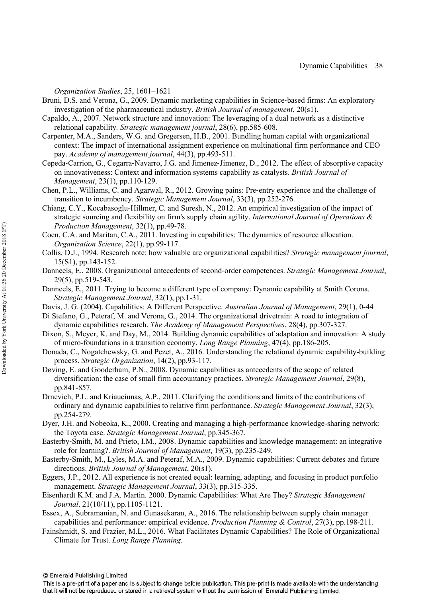*Organization Studies*, 25, 1601–1621

- Bruni, D.S. and Verona, G., 2009. Dynamic marketing capabilities in Science-based firms: An exploratory investigation of the pharmaceutical industry. *British Journal of management*, 20(s1).
- Capaldo, A., 2007. Network structure and innovation: The leveraging of a dual network as a distinctive relational capability*. Strategic management journal*, 28(6), pp.585-608.
- Carpenter, M.A., Sanders, W.G. and Gregersen, H.B., 2001. Bundling human capital with organizational context: The impact of international assignment experience on multinational firm performance and CEO pay. *Academy of management journal*, 44(3), pp.493-511.
- Cepeda‐Carrion, G., Cegarra‐Navarro, J.G. and Jimenez‐Jimenez, D., 2012. The effect of absorptive capacity on innovativeness: Context and information systems capability as catalysts. *British Journal of Management*, 23(1), pp.110-129.
- Chen, P.L., Williams, C. and Agarwal, R., 2012. Growing pains: Pre‐entry experience and the challenge of transition to incumbency. *Strategic Management Journal*, 33(3), pp.252-276.
- Chiang, C.Y., Kocabasoglu-Hillmer, C. and Suresh, N., 2012. An empirical investigation of the impact of strategic sourcing and flexibility on firm's supply chain agility. *International Journal of Operations & Production Management*, 32(1), pp.49-78.
- Coen, C.A. and Maritan, C.A., 2011. Investing in capabilities: The dynamics of resource allocation. *Organization Science*, 22(1), pp.99-117.
- Collis, D.J., 1994. Research note: how valuable are organizational capabilities? *Strategic management journal*, 15(S1), pp.143-152.
- Danneels, E., 2008. Organizational antecedents of second‐order competences. *Strategic Management Journal*, 29(5), pp.519-543.
- Danneels, E., 2011. Trying to become a different type of company: Dynamic capability at Smith Corona. *Strategic Management Journal*, 32(1), pp.1-31.
- Davis, J. G. (2004). Capabilities: A Different Perspective. *Australian Journal of Management*, 29(1), 0-44
- Di Stefano, G., Peteraf, M. and Verona, G., 2014. The organizational drivetrain: A road to integration of dynamic capabilities research. *The Academy of Management Perspectives*, 28(4), pp.307-327.
- Dixon, S., Meyer, K. and Day, M., 2014. Building dynamic capabilities of adaptation and innovation: A study of micro-foundations in a transition economy. *Long Range Planning*, 47(4), pp.186-205.
- Donada, C., Nogatchewsky, G. and Pezet, A., 2016. Understanding the relational dynamic capability-building process. *Strategic Organization*, 14(2), pp.93-117.
- Døving, E. and Gooderham, P.N., 2008. Dynamic capabilities as antecedents of the scope of related diversification: the case of small firm accountancy practices. *Strategic Management Journal*, 29(8), pp.841-857.
- Drnevich, P.L. and Kriauciunas, A.P., 2011. Clarifying the conditions and limits of the contributions of ordinary and dynamic capabilities to relative firm performance. *Strategic Management Journal*, 32(3), pp.254-279.
- Dyer, J.H. and Nobeoka, K., 2000. Creating and managing a high-performance knowledge-sharing network: the Toyota case. *Strategic Management Journal*, pp.345-367.
- Easterby‐Smith, M. and Prieto, I.M., 2008. Dynamic capabilities and knowledge management: an integrative role for learning?. *British Journal of Management*, 19(3), pp.235-249.
- Easterby‐Smith, M., Lyles, M.A. and Peteraf, M.A., 2009. Dynamic capabilities: Current debates and future directions. *British Journal of Management*, 20(s1).
- Eggers, J.P., 2012. All experience is not created equal: learning, adapting, and focusing in product portfolio management. *Strategic Management Journal*, 33(3), pp.315-335.
- Eisenhardt K.M. and J.A. Martin. 2000. Dynamic Capabilities: What Are They? *Strategic Management Journal*. 21(10/11), pp.1105-1121.
- Essex, A., Subramanian, N. and Gunasekaran, A., 2016. The relationship between supply chain manager capabilities and performance: empirical evidence. *Production Planning & Control*, 27(3), pp.198-211.
- Fainshmidt, S. and Frazier, M.L., 2016. What Facilitates Dynamic Capabilities? The Role of Organizational Climate for Trust. *Long Range Planning*.

This is a pre-print of a paper and is subject to change before publication. This pre-print is made available with the understanding that it will not be reproduced or stored in a retrieval system without the permission of Emerald Publishing Limited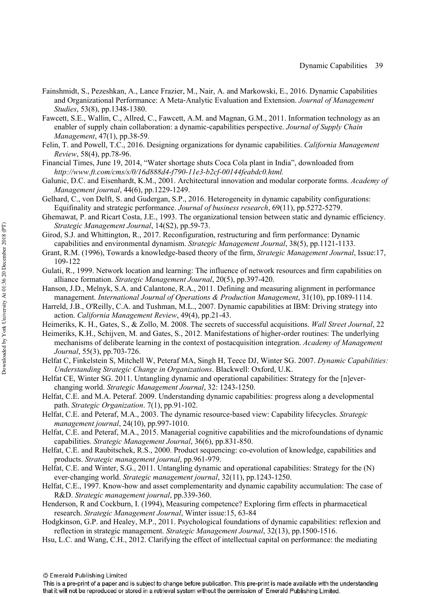- Fainshmidt, S., Pezeshkan, A., Lance Frazier, M., Nair, A. and Markowski, E., 2016. Dynamic Capabilities and Organizational Performance: A Meta‐Analytic Evaluation and Extension. *Journal of Management Studies*, 53(8), pp.1348-1380.
- Fawcett, S.E., Wallin, C., Allred, C., Fawcett, A.M. and Magnan, G.M., 2011. Information technology as an enabler of supply chain collaboration: a dynamic‐capabilities perspective. *Journal of Supply Chain Management*, 47(1), pp.38-59.
- Felin, T. and Powell, T.C., 2016. Designing organizations for dynamic capabilities. *California Management Review*, 58(4), pp.78-96.
- Financial Times, June 19, 2014, "Water shortage shuts Coca Cola plant in India", downloaded from *http://www.ft.com/cms/s/0/16d888d4-f790-11e3-b2cf-00144feabdc0.html.*
- Galunic, D.C. and Eisenhardt, K.M., 2001. Architectural innovation and modular corporate forms. *Academy of Management journal*, 44(6), pp.1229-1249.
- Gelhard, C., von Delft, S. and Gudergan, S.P., 2016. Heterogeneity in dynamic capability configurations: Equifinality and strategic performance. *Journal of business research*, 69(11), pp.5272-5279.
- Ghemawat, P. and Ricart Costa, J.E., 1993. The organizational tension between static and dynamic efficiency. *Strategic Management Journal*, 14(S2), pp.59-73.
- Girod, S.J. and Whittington, R., 2017. Reconfiguration, restructuring and firm performance: Dynamic capabilities and environmental dynamism. *Strategic Management Journal*, 38(5), pp.1121-1133.
- Grant, R.M. (1996), Towards a knowledge-based theory of the firm, *Strategic Management Journal*, Issue:17, 109-122
- Gulati, R., 1999. Network location and learning: The influence of network resources and firm capabilities on alliance formation. *Strategic Management Journal*, 20(5), pp.397-420.
- Hanson, J.D., Melnyk, S.A. and Calantone, R.A., 2011. Defining and measuring alignment in performance management. *International Journal of Operations & Production Management*, 31(10), pp.1089-1114.
- Harreld, J.B., O'Reilly, C.A. and Tushman, M.L., 2007. Dynamic capabilities at IBM: Driving strategy into action. *California Management Review*, 49(4), pp.21-43.
- Heimeriks, K. H., Gates, S., & Zollo, M. 2008. The secrets of successful acquisitions. *Wall Street Journal*, 22
- Heimeriks, K.H., Schijven, M. and Gates, S., 2012. Manifestations of higher-order routines: The underlying mechanisms of deliberate learning in the context of postacquisition integration. *Academy of Management Journal*, 55(3), pp.703-726.
- Helfat C, Finkelstein S, Mitchell W, Peteraf MA, Singh H, Teece DJ, Winter SG. 2007. *Dynamic Capabilities: Understanding Strategic Change in Organizations*. Blackwell: Oxford, U.K.
- Helfat CE, Winter SG. 2011. Untangling dynamic and operational capabilities: Strategy for the [n]everchanging world. *Strategic Management Journal*, 32: 1243-1250.
- Helfat, C.E. and M.A. Peteraf. 2009. Understanding dynamic capabilities: progress along a developmental path. *Strategic Organization*. 7(1), pp.91-102.
- Helfat, C.E. and Peteraf, M.A., 2003. The dynamic resource‐based view: Capability lifecycles. *Strategic management journal*, 24(10), pp.997-1010.
- Helfat, C.E. and Peteraf, M.A., 2015. Managerial cognitive capabilities and the microfoundations of dynamic capabilities. *Strategic Management Journal*, 36(6), pp.831-850.
- Helfat, C.E. and Raubitschek, R.S., 2000. Product sequencing: co-evolution of knowledge, capabilities and products. *Strategic management journal*, pp.961-979.
- Helfat, C.E. and Winter, S.G., 2011. Untangling dynamic and operational capabilities: Strategy for the (N) ever‐changing world. *Strategic management journal*, 32(11), pp.1243-1250.
- Helfat, C.E., 1997. Know-how and asset complementarity and dynamic capability accumulation: The case of R&D. *Strategic management journal*, pp.339-360.
- Henderson, R and Cockburn, I. (1994), Measuring competence? Exploring firm effects in pharmacetical research. *Strategic Management Journal*, Winter issue:15, 63-84
- Hodgkinson, G.P. and Healey, M.P., 2011. Psychological foundations of dynamic capabilities: reflexion and reflection in strategic management. *Strategic Management Journal*, 32(13), pp.1500-1516.
- Hsu, L.C. and Wang, C.H., 2012. Clarifying the effect of intellectual capital on performance: the mediating

This is a pre-print of a paper and is subject to change before publication. This pre-print is made available with the understanding that it will not be reproduced or stored in a retrieval system without the permission of Emerald Publishing Limited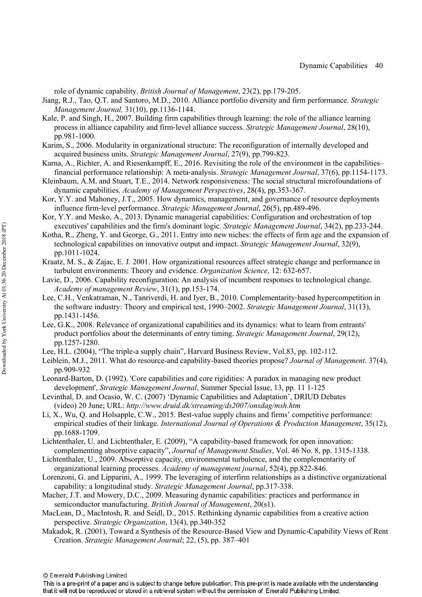role of dynamic capability. *British Journal of Management*, 23(2), pp.179-205.

- Jiang, R.J., Tao, Q.T. and Santoro, M.D., 2010. Alliance portfolio diversity and firm performance. *Strategic Management Journal,* 31(10), pp.1136-1144.
- Kale, P. and Singh, H., 2007. Building firm capabilities through learning: the role of the alliance learning process in alliance capability and firm‐level alliance success. *Strategic Management Journal*, 28(10), pp.981-1000.
- Karim, S., 2006. Modularity in organizational structure: The reconfiguration of internally developed and acquired business units. *Strategic Management Journal*, 27(9), pp.799-823.
- Karna, A., Richter, A. and Riesenkampff, E., 2016. Revisiting the role of the environment in the capabilities– financial performance relationship: A meta‐analysis. *Strategic Management Journal*, 37(6), pp.1154-1173.
- Kleinbaum, A.M. and Stuart, T.E., 2014. Network responsiveness: The social structural microfoundations of dynamic capabilities. *Academy of Management Perspectives*, 28(4), pp.353-367.
- Kor, Y.Y. and Mahoney, J.T., 2005. How dynamics, management, and governance of resource deployments influence firm‐level performance. *Strategic Management Journal*, 26(5), pp.489-496.
- Kor, Y.Y. and Mesko, A., 2013. Dynamic managerial capabilities: Configuration and orchestration of top executives' capabilities and the firm's dominant logic. *Strategic Management Journal*, 34(2), pp.233-244.
- Kotha, R., Zheng, Y. and George, G., 2011. Entry into new niches: the effects of firm age and the expansion of technological capabilities on innovative output and impact. *Strategic Management Journal*, 32(9), pp.1011-1024.
- Kraatz, M. S., & Zajac, E. J. 2001. How organizational resources affect strategic change and performance in turbulent environments: Theory and evidence. *Organization Science*, 12: 632-657.
- Lavie, D., 2006. Capability reconfiguration: An analysis of incumbent responses to technological change. *Academy of management Review*, 31(1), pp.153-174.
- Lee, C.H., Venkatraman, N., Tanriverdi, H. and Iyer, B., 2010. Complementarity-based hypercompetition in the software industry: Theory and empirical test, 1990–2002. *Strategic Management Journal*, 31(13), pp.1431-1456.
- Lee, G.K., 2008. Relevance of organizational capabilities and its dynamics: what to learn from entrants' product portfolios about the determinants of entry timing. *Strategic Management Journal*, 29(12), pp.1257-1280.
- Lee, H.L. (2004), "The triple-a supply chain", Harvard Business Review, Vol.83, pp. 102-112.
- Leiblein, M.J., 2011. What do resource-and capability-based theories propose? *Journal of Management*. 37(4), pp.909-932
- Leonard-Barton, D. (1992). 'Core capabilities and core rigidities: A paradox in managing new product development', *Strategic Management Journal*, Summer Special Issue, 13, pp. 11 1-125
- Levinthal, D. and Ocasio, W. C. (2007) 'Dynamic Capabilities and Adaptation', DRIUD Debates (video) 20 June; URL: *http://www.druid.dk/streaming/ds2007/onsdag/msh.htm*
- Li, X., Wu, Q. and Holsapple, C.W., 2015. Best-value supply chains and firms' competitive performance: empirical studies of their linkage. *International Journal of Operations & Production Management*, 35(12), pp.1688-1709.
- Lichtenthaler, U. and Lichtenthaler, E. (2009), "A capability-based framework for open innovation: complementing absorptive capacity", *Journal of Management Studies*, Vol. 46 No. 8, pp. 1315-1338.
- Lichtenthaler, U., 2009. Absorptive capacity, environmental turbulence, and the complementarity of organizational learning processes. *Academy of management journal*, 52(4), pp.822-846.
- Lorenzoni, G. and Lipparini, A., 1999. The leveraging of interfirm relationships as a distinctive organizational capability: a longitudinal study. *Strategic Management Journal*, pp.317-338.
- Macher, J.T. and Mowery, D.C., 2009. Measuring dynamic capabilities: practices and performance in semiconductor manufacturing. *British Journal of Management*, 20(s1).
- MacLean, D., MacIntosh, R. and Seidl, D., 2015. Rethinking dynamic capabilities from a creative action perspective. *Strategic Organization*, 13(4), pp.340-352
- Makadok, R. (2001), Toward a Synthesis of the Resource-Based View and Dynamic-Capability Views of Rent Creation. *Strategic Management Journal*; 22, (5), pp. 387–401

This is a pre-print of a paper and is subject to change before publication. This pre-print is made available with the understanding that it will not be reproduced or stored in a retrieval system without the permission of Emerald Publishing Limited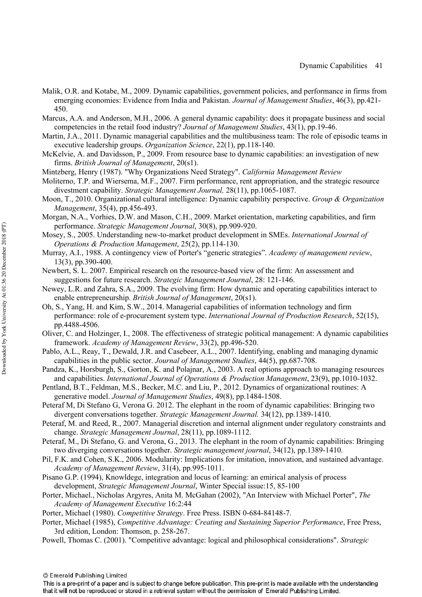- Malik, O.R. and Kotabe, M., 2009. Dynamic capabilities, government policies, and performance in firms from emerging economies: Evidence from India and Pakistan. *Journal of Management Studies*, 46(3), pp.421- 450.
- Marcus, A.A. and Anderson, M.H., 2006. A general dynamic capability: does it propagate business and social competencies in the retail food industry? *Journal of Management Studies*, 43(1), pp.19-46.
- Martin, J.A., 2011. Dynamic managerial capabilities and the multibusiness team: The role of episodic teams in executive leadership groups. *Organization Science*, 22(1), pp.118-140.
- McKelvie, A. and Davidsson, P., 2009. From resource base to dynamic capabilities: an investigation of new firms. *British Journal of Management*, 20(s1).
- Mintzberg, Henry (1987). "Why Organizations Need Strategy". *California Management Review*
- Moliterno, T.P. and Wiersema, M.F., 2007. Firm performance, rent appropriation, and the strategic resource divestment capability. *Strategic Management Journal,* 28(11), pp.1065-1087.
- Moon, T., 2010. Organizational cultural intelligence: Dynamic capability perspective. *Group & Organization Management*, 35(4), pp.456-493.
- Morgan, N.A., Vorhies, D.W. and Mason, C.H., 2009. Market orientation, marketing capabilities, and firm performance. *Strategic Management Journal*, 30(8), pp.909-920.
- Mosey, S., 2005. Understanding new-to-market product development in SMEs. *International Journal of Operations & Production Management*, 25(2), pp.114-130.
- Murray, A.I., 1988. A contingency view of Porter's "generic strategies". *Academy of management review*, 13(3), pp.390-400.
- Newbert, S. L. 2007. Empirical research on the resource-based view of the firm: An assessment and suggestions for future research. *Strategic Management Journal*, 28: 121-146.
- Newey, L.R. and Zahra, S.A., 2009. The evolving firm: How dynamic and operating capabilities interact to enable entrepreneurship. *British Journal of Management*, 20(s1).
- Oh, S., Yang, H. and Kim, S.W., 2014. Managerial capabilities of information technology and firm performance: role of e-procurement system type. *International Journal of Production Research*, 52(15), pp.4488-4506.
- Oliver, C. and Holzinger, I., 2008. The effectiveness of strategic political management: A dynamic capabilities framework. *Academy of Management Review*, 33(2), pp.496-520.
- Pablo, A.L., Reay, T., Dewald, J.R. and Casebeer, A.L., 2007. Identifying, enabling and managing dynamic capabilities in the public sector. *Journal of Management Studies*, 44(5), pp.687-708.
- Pandza, K., Horsburgh, S., Gorton, K. and Polajnar, A., 2003. A real options approach to managing resources and capabilities. *International Journal of Operations & Production Management*, 23(9), pp.1010-1032.
- Pentland, B.T., Feldman, M.S., Becker, M.C. and Liu, P., 2012. Dynamics of organizational routines: A generative model. *Journal of Management Studies*, 49(8), pp.1484-1508.
- Peteraf M, Di Stefano G, Verona G. 2012. The elephant in the room of dynamic capabilities: Bringing two divergent conversations together. *Strategic Management Journal.* 34(12), pp.1389-1410.
- Peteraf, M. and Reed, R., 2007. Managerial discretion and internal alignment under regulatory constraints and change. *Strategic Management Journal*, 28(11), pp.1089-1112.
- Peteraf, M., Di Stefano, G. and Verona, G., 2013. The elephant in the room of dynamic capabilities: Bringing two diverging conversations together. *Strategic management journal*, 34(12), pp.1389-1410.
- Pil, F.K. and Cohen, S.K., 2006. Modularity: Implications for imitation, innovation, and sustained advantage. *Academy of Management Review*, 31(4), pp.995-1011.
- Pisano G.P. (1994), Knowldege, integration and locus of learning: an emirical analysis of process development, *Strategic Management Journal*, Winter Special issue:15, 85-100
- Porter, Michael., Nicholas Argyres, Anita M. McGahan (2002), "An Interview with Michael Porter", *The Academy of Management Executive* 16:2:44
- Porter, Michael (1980). *Competitive Strategy*. Free Press. ISBN 0-684-84148-7.
- Porter, Michael (1985), *Competitive Advantage: Creating and Sustaining Superior Performance*, Free Press, 3rd edition, London: Thomson, p. 258-267.
- Powell, Thomas C. (2001). "Competitive advantage: logical and philosophical considerations". *Strategic*

<sup>©</sup> Emerald Publishing Limited

This is a pre-print of a paper and is subject to change before publication. This pre-print is made available with the understanding that it will not be reproduced or stored in a retrieval system without the permission of Emerald Publishing Limited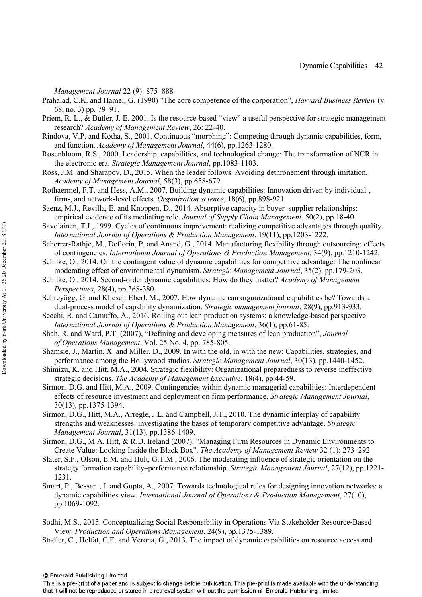*Management Journal* 22 (9): 875–888

- Prahalad, C.K. and Hamel, G. (1990) "The core competence of the corporation", *Harvard Business Review* (v. 68, no. 3) pp. 79–91.
- Priem, R. L., & Butler, J. E. 2001. Is the resource-based "view" a useful perspective for strategic management research? *Academy of Management Review*, 26: 22-40.
- Rindova, V.P. and Kotha, S., 2001. Continuous "morphing": Competing through dynamic capabilities, form, and function. *Academy of Management Journal*, 44(6), pp.1263-1280.
- Rosenbloom, R.S., 2000. Leadership, capabilities, and technological change: The transformation of NCR in the electronic era. *Strategic Management Journal*, pp.1083-1103.
- Ross, J.M. and Sharapov, D., 2015. When the leader follows: Avoiding dethronement through imitation. *Academy of Management Journal*, 58(3), pp.658-679.
- Rothaermel, F.T. and Hess, A.M., 2007. Building dynamic capabilities: Innovation driven by individual-, firm-, and network-level effects. *Organization science*, 18(6), pp.898-921.
- Saenz, M.J., Revilla, E. and Knoppen, D., 2014. Absorptive capacity in buyer–supplier relationships: empirical evidence of its mediating role. *Journal of Supply Chain Management*, 50(2), pp.18-40.
- Savolainen, T.I., 1999. Cycles of continuous improvement: realizing competitive advantages through quality. *International Journal of Operations & Production Management*, 19(11), pp.1203-1222.
- Scherrer-Rathje, M., Deflorin, P. and Anand, G., 2014. Manufacturing flexibility through outsourcing: effects of contingencies. *International Journal of Operations & Production Management*, 34(9), pp.1210-1242.
- Schilke, O., 2014. On the contingent value of dynamic capabilities for competitive advantage: The nonlinear moderating effect of environmental dynamism. *Strategic Management Journal*, 35(2), pp.179-203.
- Schilke, O., 2014. Second-order dynamic capabilities: How do they matter? *Academy of Management Perspectives*, 28(4), pp.368-380.
- Schreyögg, G. and Kliesch‐Eberl, M., 2007. How dynamic can organizational capabilities be? Towards a dual‐process model of capability dynamization. *Strategic management journal*, 28(9), pp.913-933.
- Secchi, R. and Camuffo, A., 2016. Rolling out lean production systems: a knowledge-based perspective. *International Journal of Operations & Production Management*, 36(1), pp.61-85.
- Shah, R. and Ward, P.T. (2007), "Defining and developing measures of lean production", *Journal of Operations Management*, Vol. 25 No. 4, pp. 785-805.
- Shamsie, J., Martin, X. and Miller, D., 2009. In with the old, in with the new: Capabilities, strategies, and performance among the Hollywood studios. *Strategic Management Journal*, 30(13), pp.1440-1452.
- Shimizu, K. and Hitt, M.A., 2004. Strategic flexibility: Organizational preparedness to reverse ineffective strategic decisions. *The Academy of Management Executive*, 18(4), pp.44-59.
- Sirmon, D.G. and Hitt, M.A., 2009. Contingencies within dynamic managerial capabilities: Interdependent effects of resource investment and deployment on firm performance. *Strategic Management Journal*, 30(13), pp.1375-1394.
- Sirmon, D.G., Hitt, M.A., Arregle, J.L. and Campbell, J.T., 2010. The dynamic interplay of capability strengths and weaknesses: investigating the bases of temporary competitive advantage. *Strategic Management Journal*, 31(13), pp.1386-1409.
- Sirmon, D.G., M.A. Hitt, & R.D. Ireland (2007). "Managing Firm Resources in Dynamic Environments to Create Value: Looking Inside the Black Box". *The Academy of Management Review* 32 (1): 273–292
- Slater, S.F., Olson, E.M. and Hult, G.T.M., 2006. The moderating influence of strategic orientation on the strategy formation capability–performance relationship. *Strategic Management Journal*, 27(12), pp.1221- 1231.
- Smart, P., Bessant, J. and Gupta, A., 2007. Towards technological rules for designing innovation networks: a dynamic capabilities view. *International Journal of Operations & Production Management*, 27(10), pp.1069-1092.
- Sodhi, M.S., 2015. Conceptualizing Social Responsibility in Operations Via Stakeholder Resource‐Based View. *Production and Operations Management*, 24(9), pp.1375-1389.

Stadler, C., Helfat, C.E. and Verona, G., 2013. The impact of dynamic capabilities on resource access and

© Emerald Publishing Limited

This is a pre-print of a paper and is subject to change before publication. This pre-print is made available with the understanding that it will not be reproduced or stored in a retrieval system without the permission of Emerald Publishing Limited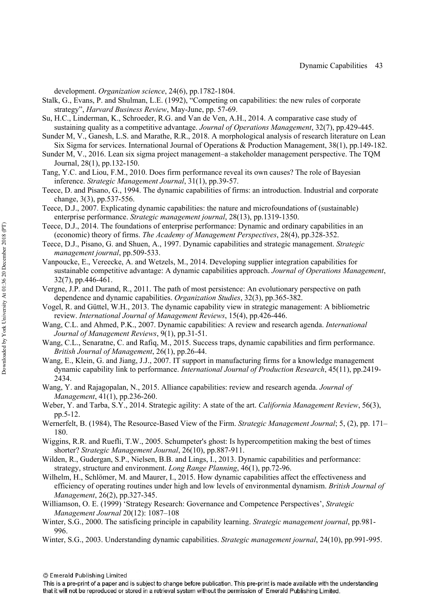development. *Organization science*, 24(6), pp.1782-1804.

- Stalk, G., Evans, P. and Shulman, L.E. (1992), "Competing on capabilities: the new rules of corporate strategy", *Harvard Business Review*, May-June, pp. 57-69.
- Su, H.C., Linderman, K., Schroeder, R.G. and Van de Ven, A.H., 2014. A comparative case study of sustaining quality as a competitive advantage. *Journal of Operations Management*, 32(7), pp.429-445.
- Sunder M, V., Ganesh, L.S. and Marathe, R.R., 2018. A morphological analysis of research literature on Lean Six Sigma for services. International Journal of Operations & Production Management, 38(1), pp.149-182.
- Sunder M, V., 2016. Lean six sigma project management–a stakeholder management perspective. The TQM Journal, 28(1), pp.132-150.
- Tang, Y.C. and Liou, F.M., 2010. Does firm performance reveal its own causes? The role of Bayesian inference. *Strategic Management Journal*, 31(1), pp.39-57.
- Teece, D. and Pisano, G., 1994. The dynamic capabilities of firms: an introduction. Industrial and corporate change, 3(3), pp.537-556.
- Teece, D.J., 2007. Explicating dynamic capabilities: the nature and microfoundations of (sustainable) enterprise performance. *Strategic management journal*, 28(13), pp.1319-1350.
- Teece, D.J., 2014. The foundations of enterprise performance: Dynamic and ordinary capabilities in an (economic) theory of firms. *The Academy of Management Perspectives*, 28(4), pp.328-352.
- Teece, D.J., Pisano, G. and Shuen, A., 1997. Dynamic capabilities and strategic management. *Strategic management journal*, pp.509-533.
- Vanpoucke, E., Vereecke, A. and Wetzels, M., 2014. Developing supplier integration capabilities for sustainable competitive advantage: A dynamic capabilities approach. *Journal of Operations Management*, 32(7), pp.446-461.
- Vergne, J.P. and Durand, R., 2011. The path of most persistence: An evolutionary perspective on path dependence and dynamic capabilities. *Organization Studies*, 32(3), pp.365-382.
- Vogel, R. and Güttel, W.H., 2013. The dynamic capability view in strategic management: A bibliometric review. *International Journal of Management Reviews*, 15(4), pp.426-446.
- Wang, C.L. and Ahmed, P.K., 2007. Dynamic capabilities: A review and research agenda. *International Journal of Management Reviews*, 9(1), pp.31-51.
- Wang, C.L., Senaratne, C. and Rafiq, M., 2015. Success traps, dynamic capabilities and firm performance. *British Journal of Management*, 26(1), pp.26-44.
- Wang, E., Klein, G. and Jiang, J.J., 2007. IT support in manufacturing firms for a knowledge management dynamic capability link to performance. *International Journal of Production Research*, 45(11), pp.2419- 2434.
- Wang, Y. and Rajagopalan, N., 2015. Alliance capabilities: review and research agenda. *Journal of Management*, 41(1), pp.236-260.
- Weber, Y. and Tarba, S.Y., 2014. Strategic agility: A state of the art. *California Management Review*, 56(3), pp.5-12.
- Wernerfelt, B. (1984), The Resource-Based View of the Firm. *Strategic Management Journal*; 5, (2), pp. 171– 180.
- Wiggins, R.R. and Ruefli, T.W., 2005. Schumpeter's ghost: Is hypercompetition making the best of times shorter? *Strategic Management Journal*, 26(10), pp.887-911.
- Wilden, R., Gudergan, S.P., Nielsen, B.B. and Lings, I., 2013. Dynamic capabilities and performance: strategy, structure and environment. *Long Range Planning*, 46(1), pp.72-96.
- Wilhelm, H., Schlömer, M. and Maurer, I., 2015. How dynamic capabilities affect the effectiveness and efficiency of operating routines under high and low levels of environmental dynamism. *British Journal of Management*, 26(2), pp.327-345.
- Williamson, O. E. (1999) 'Strategy Research: Governance and Competence Perspectives', *Strategic Management Journal* 20(12): 1087–108
- Winter, S.G., 2000. The satisficing principle in capability learning. *Strategic management journal*, pp.981- 996.
- Winter, S.G., 2003. Understanding dynamic capabilities. *Strategic management journal*, 24(10), pp.991-995.

This is a pre-print of a paper and is subject to change before publication. This pre-print is made available with the understanding that it will not be reproduced or stored in a retrieval system without the permission of Emerald Publishing Limited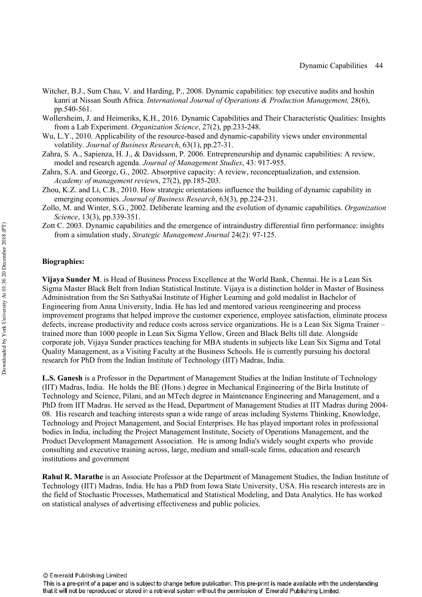- Witcher, B.J., Sum Chau, V. and Harding, P., 2008. Dynamic capabilities: top executive audits and hoshin kanri at Nissan South Africa. *International Journal of Operations & Production Management,* 28(6), pp.540-561.
- Wollersheim, J. and Heimeriks, K.H., 2016. Dynamic Capabilities and Their Characteristic Qualities: Insights from a Lab Experiment. *Organization Science*, 27(2), pp.233-248.
- Wu, L.Y., 2010. Applicability of the resource-based and dynamic-capability views under environmental volatility. *Journal of Business Research*, 63(1), pp.27-31.
- Zahra, S. A., Sapienza, H. J., & Davidsson, P. 2006. Entrepreneurship and dynamic capabilities: A review, model and research agenda. *Journal of Management Studies*, 43: 917-955.
- Zahra, S.A. and George, G., 2002. Absorptive capacity: A review, reconceptualization, and extension. *Academy of management review*s, 27(2), pp.185-203.
- Zhou, K.Z. and Li, C.B., 2010. How strategic orientations influence the building of dynamic capability in emerging economies. *Journal of Business Research*, 63(3), pp.224-231.
- Zollo, M. and Winter, S.G., 2002. Deliberate learning and the evolution of dynamic capabilities. *Organization Science*, 13(3), pp.339-351.
- Zott C. 2003. Dynamic capabilities and the emergence of intraindustry differential firm performance: insights from a simulation study, *Strategic Management Journal* 24(2): 97-125.

#### **Biographies:**

**Vijaya Sunder M**. is Head of Business Process Excellence at the World Bank, Chennai. He is a Lean Six Sigma Master Black Belt from Indian Statistical Institute. Vijaya is a distinction holder in Master of Business Administration from the Sri SathyaSai Institute of Higher Learning and gold medalist in Bachelor of Engineering from Anna University, India. He has led and mentored various reengineering and process improvement programs that helped improve the customer experience, employee satisfaction, eliminate process defects, increase productivity and reduce costs across service organizations. He is a Lean Six Sigma Trainer – trained more than 1000 people in Lean Six Sigma Yellow, Green and Black Belts till date. Alongside corporate job, Vijaya Sunder practices teaching for MBA students in subjects like Lean Six Sigma and Total Quality Management, as a Visiting Faculty at the Business Schools. He is currently pursuing his doctoral research for PhD from the Indian Institute of Technology (IIT) Madras, India.

**L.S. Ganesh** is a Professor in the Department of Management Studies at the Indian Institute of Technology (IIT) Madras, India. He holds the BE (Hons.) degree in Mechanical Engineering of the Birla Institute of Technology and Science, Pilani, and an MTech degree in Maintenance Engineering and Management, and a PhD from IIT Madras. He served as the Head, Department of Management Studies at IIT Madras during 2004- 08. His research and teaching interests span a wide range of areas including Systems Thinking, Knowledge, Technology and Project Management, and Social Enterprises. He has played important roles in professional bodies in India, including the Project Management Institute, Society of Operations Management, and the Product Development Management Association. He is among India's widely sought experts who provide consulting and executive training across, large, medium and small-scale firms, education and research institutions and government

**Rahul R. Marathe** is an Associate Professor at the Department of Management Studies, the Indian Institute of Technology (IIT) Madras, India. He has a PhD from Iowa State University, USA. His research interests are in the field of Stochastic Processes, Mathematical and Statistical Modeling, and Data Analytics. He has worked on statistical analyses of advertising effectiveness and public policies.

© Emerald Publishing Limited

This is a pre-print of a paper and is subject to change before publication. This pre-print is made available with the understanding that it will not be reproduced or stored in a retrieval system without the permission of Emerald Publishing Limited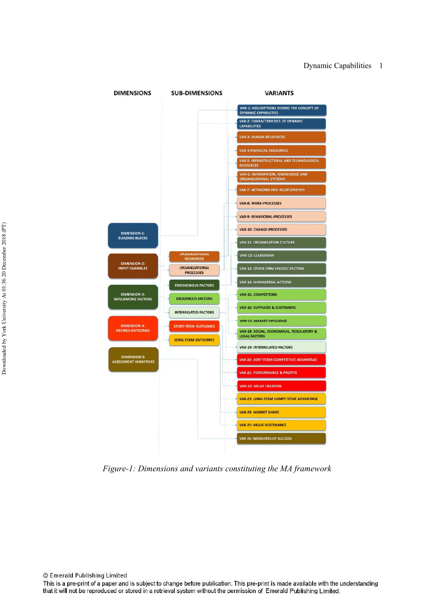

Figure-1: Dimensions and variants constituting the MA framework

© Emerald Publishing Limited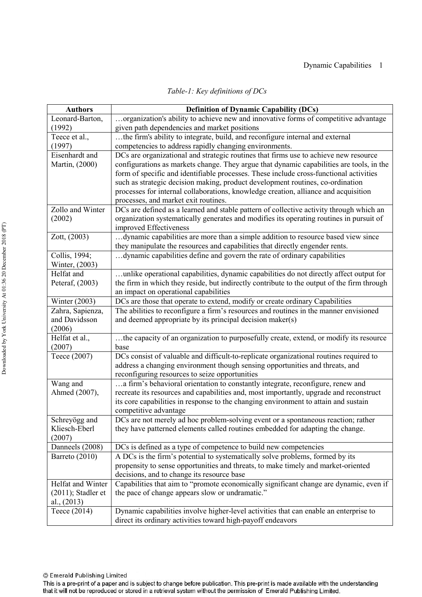| <b>Authors</b>              | <b>Definition of Dynamic Capability (DCs)</b>                                                  |
|-----------------------------|------------------------------------------------------------------------------------------------|
| Leonard-Barton,             | organization's ability to achieve new and innovative forms of competitive advantage            |
| (1992)                      | given path dependencies and market positions                                                   |
| Teece et al.,               | the firm's ability to integrate, build, and reconfigure internal and external                  |
| (1997)                      | competencies to address rapidly changing environments.                                         |
| Eisenhardt and              | DCs are organizational and strategic routines that firms use to achieve new resource           |
| Martin, (2000)              | configurations as markets change. They argue that dynamic capabilities are tools, in the       |
|                             | form of specific and identifiable processes. These include cross-functional activities         |
|                             | such as strategic decision making, product development routines, co-ordination                 |
|                             | processes for internal collaborations, knowledge creation, alliance and acquisition            |
|                             | processes, and market exit routines.                                                           |
| Zollo and Winter            | DCs are defined as a learned and stable pattern of collective activity through which an        |
| (2002)                      | organization systematically generates and modifies its operating routines in pursuit of        |
|                             | improved Effectiveness                                                                         |
| Zott, (2003)                | dynamic capabilities are more than a simple addition to resource based view since              |
|                             | they manipulate the resources and capabilities that directly engender rents.                   |
| Collis, $199\overline{4}$ ; | dynamic capabilities define and govern the rate of ordinary capabilities                       |
| Winter, (2003)              |                                                                                                |
| Helfat and                  | unlike operational capabilities, dynamic capabilities do not directly affect output for        |
| Peteraf, (2003)             | the firm in which they reside, but indirectly contribute to the output of the firm through     |
|                             | an impact on operational capabilities                                                          |
| Winter $(2003)$             | DCs are those that operate to extend, modify or create ordinary Capabilities                   |
| Zahra, Sapienza,            | The abilities to reconfigure a firm's resources and routines in the manner envisioned          |
| and Davidsson               | and deemed appropriate by its principal decision maker(s)                                      |
| (2006)<br>Helfat et al.,    |                                                                                                |
| (2007)                      | the capacity of an organization to purposefully create, extend, or modify its resource<br>base |
| Teece (2007)                | DCs consist of valuable and difficult-to-replicate organizational routines required to         |
|                             | address a changing environment though sensing opportunities and threats, and                   |
|                             | reconfiguring resources to seize opportunities                                                 |
| Wang and                    | a firm's behavioral orientation to constantly integrate, reconfigure, renew and                |
| Ahmed (2007),               | recreate its resources and capabilities and, most importantly, upgrade and reconstruct         |
|                             | its core capabilities in response to the changing environment to attain and sustain            |
|                             | competitive advantage                                                                          |
| Schreyögg and               | DCs are not merely ad hoc problem-solving event or a spontaneous reaction; rather              |
| Kliesch-Eberl               | they have patterned elements called routines embedded for adapting the change.                 |
| (2007)                      |                                                                                                |
| Danneels (2008)             | DCs is defined as a type of competence to build new competencies                               |
| Barreto (2010)              | A DCs is the firm's potential to systematically solve problems, formed by its                  |
|                             | propensity to sense opportunities and threats, to make timely and market-oriented              |
|                             | decisions, and to change its resource base                                                     |
| Helfat and Winter           | Capabilities that aim to "promote economically significant change are dynamic, even if         |
| $(2011)$ ; Stadler et       | the pace of change appears slow or undramatic."                                                |
| al., $(2013)$               |                                                                                                |
| Teece $(2014)$              | Dynamic capabilities involve higher-level activities that can enable an enterprise to          |
|                             | direct its ordinary activities toward high-payoff endeavors                                    |

#### Table-1: Key definitions of DCs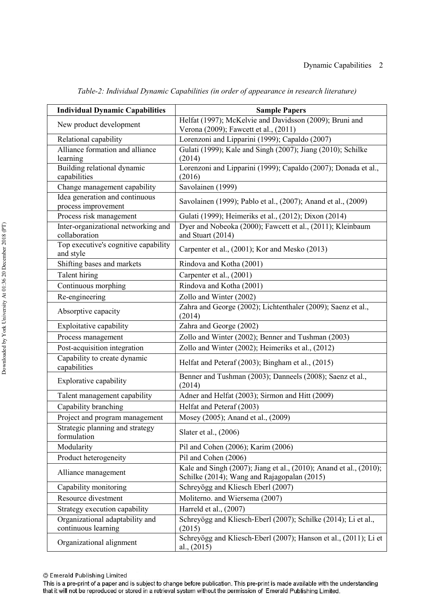| <b>Individual Dynamic Capabilities</b>                 | <b>Sample Papers</b>                                                                                              |
|--------------------------------------------------------|-------------------------------------------------------------------------------------------------------------------|
| New product development                                | Helfat (1997); McKelvie and Davidsson (2009); Bruni and                                                           |
|                                                        | Verona (2009); Fawcett et al., (2011)                                                                             |
| Relational capability                                  | Lorenzoni and Lipparini (1999); Capaldo (2007)                                                                    |
| Alliance formation and alliance<br>learning            | Gulati (1999); Kale and Singh (2007); Jiang (2010); Schilke<br>(2014)                                             |
| Building relational dynamic<br>capabilities            | Lorenzoni and Lipparini (1999); Capaldo (2007); Donada et al.,<br>(2016)                                          |
| Change management capability                           | Savolainen (1999)                                                                                                 |
| Idea generation and continuous<br>process improvement  | Savolainen (1999); Pablo et al., (2007); Anand et al., (2009)                                                     |
| Process risk management                                | Gulati (1999); Heimeriks et al., (2012); Dixon (2014)                                                             |
| Inter-organizational networking and<br>collaboration   | Dyer and Nobeoka (2000); Fawcett et al., (2011); Kleinbaum<br>and Stuart (2014)                                   |
| Top executive's cognitive capability<br>and style      | Carpenter et al., (2001); Kor and Mesko (2013)                                                                    |
| Shifting bases and markets                             | Rindova and Kotha (2001)                                                                                          |
| Talent hiring                                          | Carpenter et al., (2001)                                                                                          |
| Continuous morphing                                    | Rindova and Kotha (2001)                                                                                          |
| Re-engineering                                         | Zollo and Winter (2002)                                                                                           |
| Absorptive capacity                                    | Zahra and George (2002); Lichtenthaler (2009); Saenz et al.,<br>(2014)                                            |
| Exploitative capability                                | Zahra and George (2002)                                                                                           |
| Process management                                     | Zollo and Winter (2002); Benner and Tushman (2003)                                                                |
| Post-acquisition integration                           | Zollo and Winter (2002); Heimeriks et al., (2012)                                                                 |
| Capability to create dynamic<br>capabilities           | Helfat and Peteraf (2003); Bingham et al., (2015)                                                                 |
| Explorative capability                                 | Benner and Tushman (2003); Danneels (2008); Saenz et al.,<br>(2014)                                               |
| Talent management capability                           | Adner and Helfat (2003); Sirmon and Hitt (2009)                                                                   |
| Capability branching                                   | Helfat and Peteraf (2003)                                                                                         |
| Project and program management                         | Mosey (2005); Anand et al., (2009)                                                                                |
| Strategic planning and strategy<br>formulation         | Slater et al., (2006)                                                                                             |
| Modularity                                             | Pil and Cohen (2006); Karim (2006)                                                                                |
| Product heterogeneity                                  | Pil and Cohen (2006)                                                                                              |
| Alliance management                                    | Kale and Singh (2007); Jiang et al., (2010); Anand et al., (2010);<br>Schilke (2014); Wang and Rajagopalan (2015) |
| Capability monitoring                                  | Schreyögg and Kliesch Eberl (2007)                                                                                |
| Resource divestment                                    | Moliterno. and Wiersema (2007)                                                                                    |
| Strategy execution capability                          | Harreld et al., (2007)                                                                                            |
| Organizational adaptability and<br>continuous learning | Schreyögg and Kliesch-Eberl (2007); Schilke (2014); Li et al.,<br>(2015)                                          |
| Organizational alignment                               | Schreyögg and Kliesch-Eberl (2007); Hanson et al., (2011); Li et<br>al., $(2015)$                                 |

Table-2: Individual Dynamic Capabilities (in order of appearance in research literature)

<sup>©</sup> Emerald Publishing Limited

This is a pre-print of a paper and is subject to change before publication. This pre-print is made available with the understanding that it will not be reproduced or stored in a retrieval system without the permission of Emerald Publishing Limited.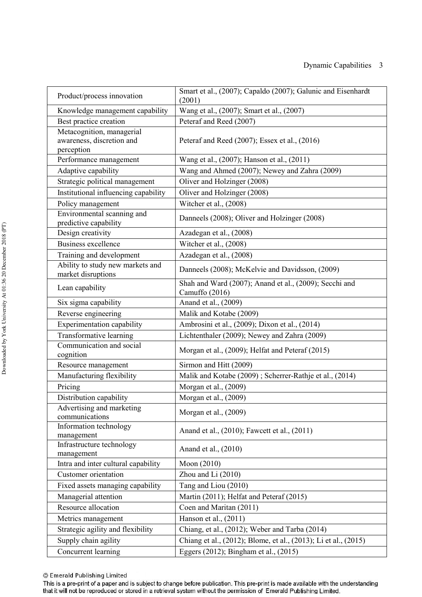| Product/process innovation                                           | Smart et al., (2007); Capaldo (2007); Galunic and Eisenhardt<br>(2001)   |
|----------------------------------------------------------------------|--------------------------------------------------------------------------|
| Knowledge management capability                                      | Wang et al., (2007); Smart et al., (2007)                                |
| Best practice creation                                               | Peteraf and Reed (2007)                                                  |
| Metacognition, managerial<br>awareness, discretion and<br>perception | Peteraf and Reed (2007); Essex et al., (2016)                            |
| Performance management                                               | Wang et al., (2007); Hanson et al., (2011)                               |
| Adaptive capability                                                  | Wang and Ahmed (2007); Newey and Zahra (2009)                            |
| Strategic political management                                       | Oliver and Holzinger (2008)                                              |
| Institutional influencing capability                                 | Oliver and Holzinger (2008)                                              |
| Policy management                                                    | Witcher et al., $(2008)$                                                 |
| Environmental scanning and<br>predictive capability                  | Danneels (2008); Oliver and Holzinger (2008)                             |
| Design creativity                                                    | Azadegan et al., (2008)                                                  |
| Business excellence                                                  | Witcher et al., (2008)                                                   |
| Training and development                                             | Azadegan et al., (2008)                                                  |
| Ability to study new markets and<br>market disruptions               | Danneels (2008); McKelvie and Davidsson, (2009)                          |
| Lean capability                                                      | Shah and Ward (2007); Anand et al., (2009); Secchi and<br>Camuffo (2016) |
| Six sigma capability                                                 | Anand et al., (2009)                                                     |
| Reverse engineering                                                  | Malik and Kotabe (2009)                                                  |
| Experimentation capability                                           | Ambrosini et al., (2009); Dixon et al., (2014)                           |
| Transformative learning                                              | Lichtenthaler (2009); Newey and Zahra (2009)                             |
| Communication and social<br>cognition                                | Morgan et al., (2009); Helfat and Peteraf (2015)                         |
| Resource management                                                  | Sirmon and Hitt (2009)                                                   |
| Manufacturing flexibility                                            | Malik and Kotabe (2009); Scherrer-Rathje et al., (2014)                  |
| Pricing                                                              | Morgan et al., (2009)                                                    |
| Distribution capability                                              | Morgan et al., (2009)                                                    |
| Advertising and marketing<br>communications                          | Morgan et al., (2009)                                                    |
| Information technology<br>management                                 | Anand et al., (2010); Fawcett et al., (2011)                             |
| Infrastructure technology<br>management                              | Anand et al., (2010)                                                     |
| Intra and inter cultural capability                                  | Moon $(2010)$                                                            |
| Customer orientation                                                 | Zhou and Li (2010)                                                       |
| Fixed assets managing capability                                     | Tang and Liou (2010)                                                     |
| Managerial attention                                                 | Martin (2011); Helfat and Peteraf (2015)                                 |
| Resource allocation                                                  | Coen and Maritan (2011)                                                  |
| Metrics management                                                   | Hanson et al., (2011)                                                    |
| Strategic agility and flexibility                                    | Chiang, et al., (2012); Weber and Tarba (2014)                           |
| Supply chain agility                                                 | Chiang et al., (2012); Blome, et al., (2013); Li et al., (2015)          |
| Concurrent learning                                                  | Eggers (2012); Bingham et al., (2015)                                    |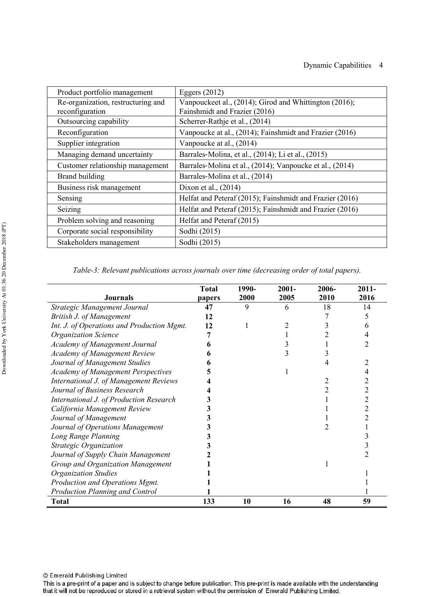| Product portfolio management       | Eggers $(2012)$                                          |
|------------------------------------|----------------------------------------------------------|
| Re-organization, restructuring and | Vanpouckeet al., (2014); Girod and Whittington (2016);   |
| reconfiguration                    | Fainshmidt and Frazier (2016)                            |
| Outsourcing capability             | Scherrer-Rathje et al., (2014)                           |
| Reconfiguration                    | Vanpoucke at al., (2014); Fainshmidt and Frazier (2016)  |
| Supplier integration               | Vanpoucke at al., (2014)                                 |
| Managing demand uncertainty        | Barrales-Molina, et al., (2014); Li et al., (2015)       |
| Customer relationship management   | Barrales-Molina et al., (2014); Vanpoucke et al., (2014) |
| Brand building                     | Barrales-Molina et al., (2014)                           |
| Business risk management           | Dixon et al., $(2014)$                                   |
| Sensing                            | Helfat and Peteraf (2015); Fainshmidt and Frazier (2016) |
| Seizing                            | Helfat and Peteraf (2015); Fainshmidt and Frazier (2016) |
| Problem solving and reasoning      | Helfat and Peteraf (2015)                                |
| Corporate social responsibility    | Sodhi (2015)                                             |
| Stakeholders management            | Sodhi (2015)                                             |
|                                    |                                                          |

Table-3: Relevant publications across journals over time (decreasing order of total papers).

|                                            | <b>Total</b> | 1990- | $2001 -$ | 2006- | $2011 -$       |
|--------------------------------------------|--------------|-------|----------|-------|----------------|
| <b>Journals</b>                            | papers       | 2000  | 2005     | 2010  | 2016           |
| Strategic Management Journal               | 47           | 9     | 6        | 18    | 14             |
| British J. of Management                   | 12           |       |          |       |                |
| Int. J. of Operations and Production Mgmt. | 12           |       |          |       | n              |
| <b>Organization Science</b>                |              |       |          |       |                |
| Academy of Management Journal              |              |       |          |       |                |
| <b>Academy of Management Review</b>        |              |       |          |       |                |
| Journal of Management Studies              |              |       |          |       |                |
| <b>Academy of Management Perspectives</b>  |              |       |          |       |                |
| International J. of Management Reviews     |              |       |          |       |                |
| Journal of Business Research               |              |       |          |       |                |
| International J. of Production Research    |              |       |          |       | $\overline{2}$ |
| California Management Review               |              |       |          |       |                |
| Journal of Management                      |              |       |          |       |                |
| Journal of Operations Management           |              |       |          |       |                |
| Long Range Planning                        |              |       |          |       |                |
| Strategic Organization                     |              |       |          |       |                |
| Journal of Supply Chain Management         |              |       |          |       |                |
| Group and Organization Management          |              |       |          |       |                |
| <b>Organization Studies</b>                |              |       |          |       |                |
| Production and Operations Mgmt.            |              |       |          |       |                |
| Production Planning and Control            |              |       |          |       |                |
| <b>Total</b>                               | 133          | 10    | 16       | 48    | 59             |

This is a pre-print of a paper and is subject to change before publication. This pre-print is made available with the understanding that it will not be reproduced or stored in a retrieval system without the permission of Emerald Publishing Limited.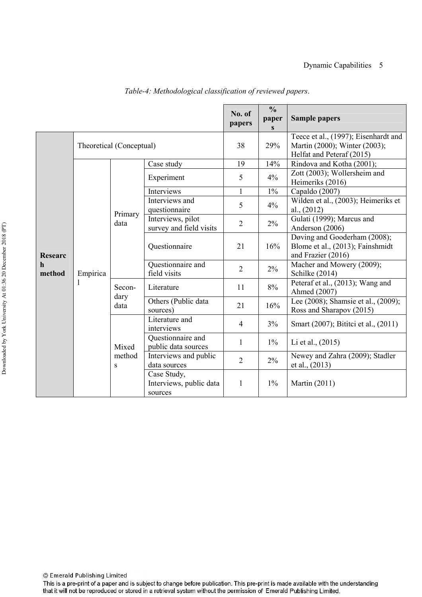|                        |          |                          |                                                   | No. of<br>papers | $\frac{6}{9}$<br>paper<br>$\mathbf S$ | <b>Sample papers</b>                                                                               |
|------------------------|----------|--------------------------|---------------------------------------------------|------------------|---------------------------------------|----------------------------------------------------------------------------------------------------|
|                        |          | Theoretical (Conceptual) |                                                   | 38               | 29%                                   | Teece et al., (1997); Eisenhardt and<br>Martin (2000); Winter (2003);<br>Helfat and Peteraf (2015) |
|                        |          |                          | Case study                                        | 19               | 14%                                   | Rindova and Kotha (2001);                                                                          |
|                        |          |                          | Experiment                                        | 5                | 4%                                    | Zott (2003); Wollersheim and<br>Heimeriks (2016)                                                   |
|                        |          |                          | Interviews                                        | $\mathbf{1}$     | $1\%$                                 | Capaldo (2007)                                                                                     |
|                        |          | Primary                  | Interviews and<br>questionnaire                   | 5                | 4%                                    | Wilden et al., (2003); Heimeriks et<br>al., (2012)                                                 |
|                        |          | data                     | Interviews, pilot<br>survey and field visits      | $\overline{2}$   | 2%                                    | Gulati (1999); Marcus and<br>Anderson (2006)                                                       |
| <b>Researc</b>         |          |                          | Questionnaire                                     | 21               | 16%                                   | Døving and Gooderham (2008);<br>Blome et al., (2013); Fainshmidt<br>and Frazier (2016)             |
| $\mathbf{h}$<br>method | Empirica |                          | Questionnaire and<br>field visits                 | $\overline{2}$   | 2%                                    | Macher and Mowery (2009);<br>Schilke (2014)                                                        |
|                        |          | Secon-<br>dary           | Literature                                        | 11               | 8%                                    | Peteraf et al., (2013); Wang and<br>Ahmed (2007)                                                   |
|                        |          | data                     | Others (Public data<br>sources)                   | 21               | 16%                                   | Lee (2008); Shamsie et al., (2009);<br>Ross and Sharapov (2015)                                    |
|                        |          |                          | Literature and<br>interviews                      | $\overline{4}$   | 3%                                    | Smart (2007); Bititci et al., (2011)                                                               |
|                        |          | Mixed                    | Questionnaire and<br>public data sources          | $\mathbf{1}$     | $1\%$                                 | Li et al., (2015)                                                                                  |
|                        |          | method<br>S              | Interviews and public<br>data sources             | $\overline{2}$   | 2%                                    | Newey and Zahra (2009); Stadler<br>et al., (2013)                                                  |
|                        |          |                          | Case Study,<br>Interviews, public data<br>sources | $\mathbf{1}$     | $1\%$                                 | <b>Martin</b> (2011)                                                                               |

Table-4: Methodological classification of reviewed papers.

© Emerald Publishing Limited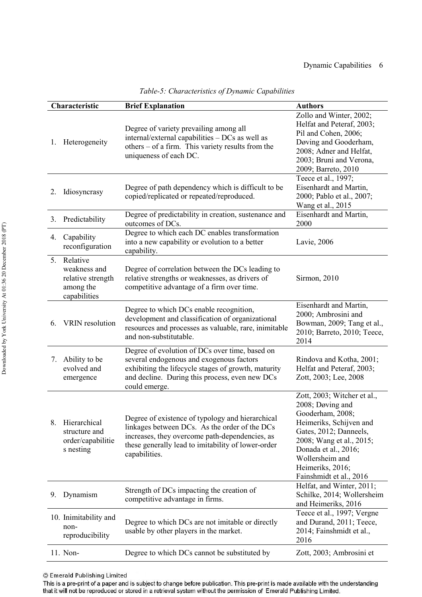|    | Characteristic                                                             | <b>Brief Explanation</b>                                                                                                                                                                                                   | <b>Authors</b>                                                                                                                                                                                                                                 |
|----|----------------------------------------------------------------------------|----------------------------------------------------------------------------------------------------------------------------------------------------------------------------------------------------------------------------|------------------------------------------------------------------------------------------------------------------------------------------------------------------------------------------------------------------------------------------------|
| 1. | Heterogeneity                                                              | Degree of variety prevailing among all<br>internal/external capabilities - DCs as well as<br>others – of a firm. This variety results from the<br>uniqueness of each DC.                                                   | Zollo and Winter, 2002;<br>Helfat and Peteraf, 2003;<br>Pil and Cohen, 2006;<br>Døving and Gooderham,<br>2008; Adner and Helfat,<br>2003; Bruni and Verona,<br>2009; Barreto, 2010                                                             |
| 2. | Idiosyncrasy                                                               | Degree of path dependency which is difficult to be<br>copied/replicated or repeated/reproduced.                                                                                                                            | Teece et al., 1997;<br>Eisenhardt and Martin,<br>2000; Pablo et al., 2007;<br>Wang et al., 2015                                                                                                                                                |
| 3. | Predictability                                                             | Degree of predictability in creation, sustenance and<br>outcomes of DCs.                                                                                                                                                   | Eisenhardt and Martin,<br>2000                                                                                                                                                                                                                 |
| 4. | Capability<br>reconfiguration                                              | Degree to which each DC enables transformation<br>into a new capability or evolution to a better<br>capability.                                                                                                            | Lavie, 2006                                                                                                                                                                                                                                    |
| 5. | Relative<br>weakness and<br>relative strength<br>among the<br>capabilities | Degree of correlation between the DCs leading to<br>relative strengths or weaknesses, as drivers of<br>competitive advantage of a firm over time.                                                                          | Sirmon, 2010                                                                                                                                                                                                                                   |
| 6. | VRIN resolution                                                            | Degree to which DCs enable recognition,<br>development and classification of organizational<br>resources and processes as valuable, rare, inimitable<br>and non-substitutable.                                             | Eisenhardt and Martin,<br>2000; Ambrosini and<br>Bowman, 2009; Tang et al.,<br>2010; Barreto, 2010; Teece,<br>2014                                                                                                                             |
| 7. | Ability to be<br>evolved and<br>emergence                                  | Degree of evolution of DCs over time, based on<br>several endogenous and exogenous factors<br>exhibiting the lifecycle stages of growth, maturity<br>and decline. During this process, even new DCs<br>could emerge.       | Rindova and Kotha, 2001;<br>Helfat and Peteraf, 2003;<br>Zott, 2003; Lee, 2008                                                                                                                                                                 |
| 8. | Hierarchical<br>structure and<br>order/capabilitie<br>s nesting            | Degree of existence of typology and hierarchical<br>linkages between DCs. As the order of the DCs<br>increases, they overcome path-dependencies, as<br>these generally lead to imitability of lower-order<br>capabilities. | Zott, 2003; Witcher et al.,<br>2008; Døving and<br>Gooderham, 2008;<br>Heimeriks, Schijven and<br>Gates, 2012; Danneels,<br>2008; Wang et al., 2015;<br>Donada et al., 2016;<br>Wollersheim and<br>Heimeriks, 2016;<br>Fainshmidt et al., 2016 |
| 9. | Dynamism                                                                   | Strength of DCs impacting the creation of<br>competitive advantage in firms.                                                                                                                                               | Helfat, and Winter, 2011;<br>Schilke, 2014; Wollersheim<br>and Heimeriks, 2016                                                                                                                                                                 |
|    | 10. Inimitability and<br>non-<br>reproducibility                           | Degree to which DCs are not imitable or directly<br>usable by other players in the market.                                                                                                                                 | Teece et al., 1997; Vergne<br>and Durand, 2011; Teece,<br>2014; Fainshmidt et al.,<br>2016                                                                                                                                                     |
|    | 11. Non-                                                                   | Degree to which DCs cannot be substituted by                                                                                                                                                                               | Zott, 2003; Ambrosini et                                                                                                                                                                                                                       |

Table-5: Characteristics of Dynamic Capabilities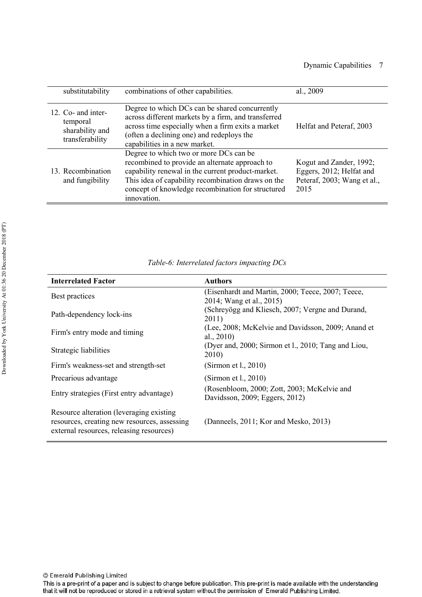Dynamic Capabilities 7

| substitutability                                                     | combinations of other capabilities.                                                                                                                                                                                                                                     | al., 2009                                                                                  |
|----------------------------------------------------------------------|-------------------------------------------------------------------------------------------------------------------------------------------------------------------------------------------------------------------------------------------------------------------------|--------------------------------------------------------------------------------------------|
| 12. Co- and inter-<br>temporal<br>sharability and<br>transferability | Degree to which DCs can be shared concurrently<br>across different markets by a firm, and transferred<br>across time especially when a firm exits a market<br>(often a declining one) and redeploys the<br>capabilities in a new market.                                | Helfat and Peteraf, 2003                                                                   |
| 13. Recombination<br>and fungibility                                 | Degree to which two or more DCs can be<br>recombined to provide an alternate approach to<br>capability renewal in the current product-market.<br>This idea of capability recombination draws on the<br>concept of knowledge recombination for structured<br>innovation. | Kogut and Zander, 1992;<br>Eggers, 2012; Helfat and<br>Peteraf, 2003; Wang et al.,<br>2015 |

| <b>Interrelated Factor</b>                                                                                                            | <b>Authors</b>                                                                |
|---------------------------------------------------------------------------------------------------------------------------------------|-------------------------------------------------------------------------------|
| Best practices                                                                                                                        | (Eisenhardt and Martin, 2000; Teece, 2007; Teece,<br>2014; Wang et al., 2015) |
| Path-dependency lock-ins                                                                                                              | (Schreyögg and Kliesch, 2007; Vergne and Durand,<br>2011)                     |
| Firm's entry mode and timing                                                                                                          | (Lee, 2008; McKelvie and Davidsson, 2009; Anand et<br>al., $2010$ )           |
| Strategic liabilities                                                                                                                 | (Dyer and, 2000; Sirmon et l., 2010; Tang and Liou,<br>2010)                  |
| Firm's weakness-set and strength-set                                                                                                  | (Sirmon et $l_{\cdot}$ , 2010)                                                |
| Precarious advantage                                                                                                                  | (Sirmon et l., 2010)                                                          |
| Entry strategies (First entry advantage)                                                                                              | (Rosenbloom, 2000; Zott, 2003; McKelvie and<br>Davidsson, 2009; Eggers, 2012) |
| Resource alteration (leveraging existing)<br>resources, creating new resources, assessing<br>external resources, releasing resources) | (Danneels, 2011; Kor and Mesko, 2013)                                         |

Table-6: Interrelated factors impacting DCs

© Emerald Publishing Limited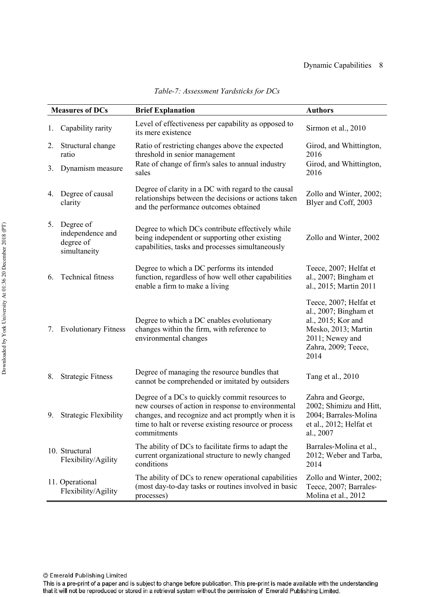|    | <b>Measures of DCs</b>                                     | <b>Brief Explanation</b>                                                                                                                                                                                                          | <b>Authors</b>                                                                                                                                 |
|----|------------------------------------------------------------|-----------------------------------------------------------------------------------------------------------------------------------------------------------------------------------------------------------------------------------|------------------------------------------------------------------------------------------------------------------------------------------------|
| 1. | Capability rarity                                          | Level of effectiveness per capability as opposed to<br>its mere existence                                                                                                                                                         | Sirmon et al., 2010                                                                                                                            |
| 2. | Structural change<br>ratio                                 | Ratio of restricting changes above the expected<br>threshold in senior management                                                                                                                                                 | Girod, and Whittington,<br>2016                                                                                                                |
| 3. | Dynamism measure                                           | Rate of change of firm's sales to annual industry<br>sales                                                                                                                                                                        | Girod, and Whittington,<br>2016                                                                                                                |
|    | 4. Degree of causal<br>clarity                             | Degree of clarity in a DC with regard to the causal<br>relationships between the decisions or actions taken<br>and the performance outcomes obtained                                                                              | Zollo and Winter, 2002;<br>Blyer and Coff, 2003                                                                                                |
| 5. | Degree of<br>independence and<br>degree of<br>simultaneity | Degree to which DCs contribute effectively while<br>being independent or supporting other existing<br>capabilities, tasks and processes simultaneously                                                                            | Zollo and Winter, 2002                                                                                                                         |
| 6. | <b>Technical fitness</b>                                   | Degree to which a DC performs its intended<br>function, regardless of how well other capabilities<br>enable a firm to make a living                                                                                               | Teece, 2007; Helfat et<br>al., 2007; Bingham et<br>al., 2015; Martin 2011                                                                      |
| 7. | <b>Evolutionary Fitness</b>                                | Degree to which a DC enables evolutionary<br>changes within the firm, with reference to<br>environmental changes                                                                                                                  | Teece, 2007; Helfat et<br>al., 2007; Bingham et<br>al., 2015; Kor and<br>Mesko, 2013; Martin<br>2011; Newey and<br>Zahra, 2009; Teece,<br>2014 |
| 8. | <b>Strategic Fitness</b>                                   | Degree of managing the resource bundles that<br>cannot be comprehended or imitated by outsiders                                                                                                                                   | Tang et al., 2010                                                                                                                              |
| 9. | <b>Strategic Flexibility</b>                               | Degree of a DCs to quickly commit resources to<br>new courses of action in response to environmental<br>changes, and recognize and act promptly when it is<br>time to halt or reverse existing resource or process<br>commitments | Zahra and George,<br>2002; Shimizu and Hitt,<br>2004; Barrales-Molina<br>et al., 2012; Helfat et<br>al., 2007                                  |
|    | 10. Structural<br>Flexibility/Agility                      | The ability of DCs to facilitate firms to adapt the<br>current organizational structure to newly changed<br>conditions                                                                                                            | Barrales-Molina et al.,<br>2012; Weber and Tarba,<br>2014                                                                                      |
|    | 11. Operational<br>Flexibility/Agility                     | The ability of DCs to renew operational capabilities<br>(most day-to-day tasks or routines involved in basic<br>processes)                                                                                                        | Zollo and Winter, 2002;<br>Teece, 2007; Barrales-<br>Molina et al., 2012                                                                       |

Table-7: Assessment Yardsticks for DCs

© Emerald Publishing Limited

This is a pre-print of a paper and is subject to change before publication. This pre-print is made available with the understanding that it will not be reproduced or stored in a retrieval system without the permission of Emerald Publishing Limited.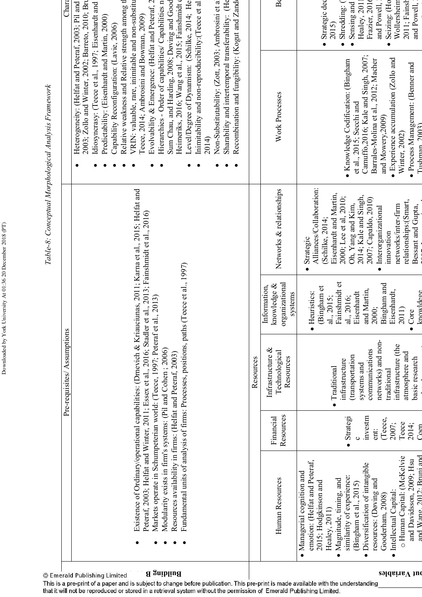|                                                                                                                                                                                                                                                                                                                                                                                       |                                                                              |                                                                                                                                                                                     |                                                                                                                                                                                            |                                                                                                                                                                                                                                                                                                                         | Table-8: Conceptual Morphological Analysis Framework                                                                                                                                                                                                                                                                                                                                                                                                                                                                                                                                                                                                                                                                                                                                                                                                                                                        |                                                                                                                                                                               |
|---------------------------------------------------------------------------------------------------------------------------------------------------------------------------------------------------------------------------------------------------------------------------------------------------------------------------------------------------------------------------------------|------------------------------------------------------------------------------|-------------------------------------------------------------------------------------------------------------------------------------------------------------------------------------|--------------------------------------------------------------------------------------------------------------------------------------------------------------------------------------------|-------------------------------------------------------------------------------------------------------------------------------------------------------------------------------------------------------------------------------------------------------------------------------------------------------------------------|-------------------------------------------------------------------------------------------------------------------------------------------------------------------------------------------------------------------------------------------------------------------------------------------------------------------------------------------------------------------------------------------------------------------------------------------------------------------------------------------------------------------------------------------------------------------------------------------------------------------------------------------------------------------------------------------------------------------------------------------------------------------------------------------------------------------------------------------------------------------------------------------------------------|-------------------------------------------------------------------------------------------------------------------------------------------------------------------------------|
|                                                                                                                                                                                                                                                                                                                                                                                       |                                                                              | Pre-requisites/ Assumptions                                                                                                                                                         |                                                                                                                                                                                            |                                                                                                                                                                                                                                                                                                                         |                                                                                                                                                                                                                                                                                                                                                                                                                                                                                                                                                                                                                                                                                                                                                                                                                                                                                                             | Chara                                                                                                                                                                         |
| Fundamental units of analysis of firms: Processes, positions, paths (Teece et al., 1997)<br>Markets operate in Schumpeterian world: (Teece, 1997; Peteraf et al., 2013)<br>Peteraf, 2003; Helfat and Winter, 2011; Essex et al., 2016; Stadler et al.<br>Modularity exists in firm's systems: (Pil and Cohen; 2006)<br>Resources availability in firms: (Helfat and Peteraf, 2003)    |                                                                              |                                                                                                                                                                                     |                                                                                                                                                                                            | Existence of Ordinary/operational capabilities: (Drnevich & Kriauciunas, 2011; Karna et al., 2015; Helfat and<br>l., 2013; Fainshmidt et al., 2016)                                                                                                                                                                     | Evolvability & Emergence: (Helfat and Peteraf, 2<br>Heimeriks, 2016; Wang et al., 2015; Fainshmidt e<br>Sharability and intertemporal transferability: (He<br>2003; Zollo and Winter, 2002; Barreto, 2010; Bru<br>VRIN: valuable, rare, inimitable and non-substitu<br>Hierarchies - Order of capabilities/ Capabilities no<br>Sum Chau, and Harding, 2008; Døving and Good<br>Level/Degree of Dynamism: (Schilke, 2014; He<br>Recombination and fungibility: (Kogut and Zande<br>Relative weakness and Relative strength among th<br>inimitability and non-reproducibility: (Teece et al<br>Non-Substitutability: (Zott, 2003; Ambrosini et a<br>Heterogeneity: (Helfat and Peteraf, 2003; Pil and<br>Idiosyncrasy: (Teece et al., 1997; Eisenhardt and<br>Teece, 2014; Ambrosini and Bowman, 2009)<br>Predictability: (Eisenhardt and Martin, 2000)<br>Capability Reconfiguration: (Lavie, 2006)<br>2014) |                                                                                                                                                                               |
|                                                                                                                                                                                                                                                                                                                                                                                       |                                                                              | Resources                                                                                                                                                                           |                                                                                                                                                                                            |                                                                                                                                                                                                                                                                                                                         |                                                                                                                                                                                                                                                                                                                                                                                                                                                                                                                                                                                                                                                                                                                                                                                                                                                                                                             |                                                                                                                                                                               |
| Human Resources                                                                                                                                                                                                                                                                                                                                                                       | Resources<br>Financial                                                       | Infrastructure $\&$<br>Technological<br>Resources                                                                                                                                   | organizational<br>knowledge $\&$<br>Information,<br>systems                                                                                                                                | Networks & relationships                                                                                                                                                                                                                                                                                                | Work Processes                                                                                                                                                                                                                                                                                                                                                                                                                                                                                                                                                                                                                                                                                                                                                                                                                                                                                              | മ്                                                                                                                                                                            |
| and Wang 2012: Bruni and<br>o Human Capital: (McKelvie<br>and Davidsson, 2009; Hsu<br>emotion: (Helfat and Peteraf,<br>Diversification of intangible<br>• Managerial cognition and<br>similarity of experience:<br>Magnitude, timing, and<br>resources: (Døving and<br>2015; Hodgkinson and<br>(Bingham et al., 2015)<br>· Intellectual Capital:<br>Gooderham, 2008)<br>Healey, 2011) | investm<br>Strategi<br>(Teece,<br>Teece<br>2007;<br>2014;<br>$C$ oen<br>ent: | networks) and non-<br>infrastructure (the<br>communications<br>atmosphere and<br>(transportation<br>basic research<br>infrastructure<br>systems and<br>· Traditional<br>traditional | Fainshmidt et<br>Bingham and<br>(Bingham et<br>Martin,<br>Eisenhardt,<br>knowldege<br>Eisenhardt<br>· Heuristics:<br>al., 2015;<br>al., 2016;<br>2011)<br>2000<br>$C$ ore<br>$\frac{1}{2}$ | Alliances/Collaboration:<br>Eisenhardt and Martin,<br>2014; Kale and Singh,<br>2000; Lee et al, 2010;<br>2007; Capaldo, 2010)<br>relationships:(Smart,<br>Oh, Yang and Kim,<br>networks/inter-firm<br>Bessant and Gupta,<br>Interorganizational<br>(Schilke, 2014;<br>innovation<br>Strategic<br>$\bullet$<br>$\bullet$ | Camuffo, 2016; Kale and Singh, 2007;<br>$\bullet$ Experience accumulation (Zollo and<br>Barrales-Molina et al., 2012; Macher<br>· Knowledge Codification: (Bingham<br>· Process Management: (Benner and<br>et al., 2015; Secchi and<br>and Mowery, 2009)<br>Tushman 2003)<br>Winter, 2002)                                                                                                                                                                                                                                                                                                                                                                                                                                                                                                                                                                                                                  | Strategic ded<br>Seizing: (Ho<br>2011; Fainsh<br>Frazier, 2016<br>Wollersheim<br>Healey, 201<br>Sensing and<br>and Powell,<br>and Powell,<br>Shredding:<br>2015)<br>$\bullet$ |

Downloaded by York University At 01:36 20 December 2018 (PT) Downloaded by York University At 01:36 20 December 2018 (PT)

**.-
3.4**

 $\mathbf{S}$ *s* **5***s* **5***f***<sub><b>s**</sub> **5***f* **5***f* **5***f* **5***f* **5***f* **5***f* **5***f* **5***f* **5***f* **5***f* **5***f* **5***f* **5***f* **5***f* **5***f* **5***f* **5***f* **5***f* **5***f* **5***f* **5**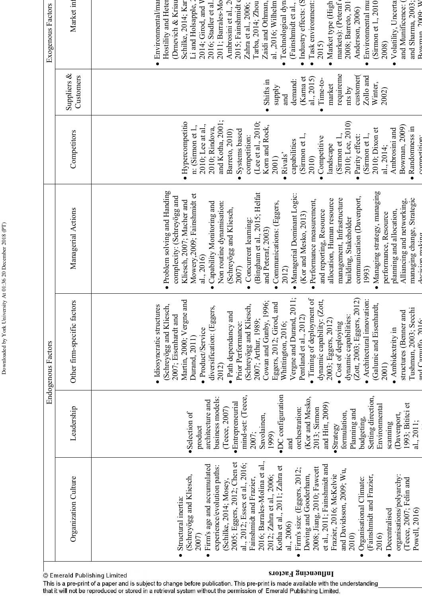|                                                                                                                                                                                                                                                                                                                                                                                                                                                                                                                                                                                                                                                                                                              |                                                                                                                                                                                                                                                                                                                                                                                                                               | Endogenous Factors                                                                                                                                                                                                                                                                                                                                                                                                                                                                                                                                                                                                                                                                                                                                           |                                                                                                                                                                                                                                                                                                                                                                                                                                                                                                                                                                                                                                                                                                                                                                                    |                                                                                                                                                                                                                                                                                                                                                                                                                                                                                                |                                                                                                                                                                    | Exogenous Factors                                                                                                                                                                                                                                                                                                                                                                                                                                                                                                                                                                                                                              |
|--------------------------------------------------------------------------------------------------------------------------------------------------------------------------------------------------------------------------------------------------------------------------------------------------------------------------------------------------------------------------------------------------------------------------------------------------------------------------------------------------------------------------------------------------------------------------------------------------------------------------------------------------------------------------------------------------------------|-------------------------------------------------------------------------------------------------------------------------------------------------------------------------------------------------------------------------------------------------------------------------------------------------------------------------------------------------------------------------------------------------------------------------------|--------------------------------------------------------------------------------------------------------------------------------------------------------------------------------------------------------------------------------------------------------------------------------------------------------------------------------------------------------------------------------------------------------------------------------------------------------------------------------------------------------------------------------------------------------------------------------------------------------------------------------------------------------------------------------------------------------------------------------------------------------------|------------------------------------------------------------------------------------------------------------------------------------------------------------------------------------------------------------------------------------------------------------------------------------------------------------------------------------------------------------------------------------------------------------------------------------------------------------------------------------------------------------------------------------------------------------------------------------------------------------------------------------------------------------------------------------------------------------------------------------------------------------------------------------|------------------------------------------------------------------------------------------------------------------------------------------------------------------------------------------------------------------------------------------------------------------------------------------------------------------------------------------------------------------------------------------------------------------------------------------------------------------------------------------------|--------------------------------------------------------------------------------------------------------------------------------------------------------------------|------------------------------------------------------------------------------------------------------------------------------------------------------------------------------------------------------------------------------------------------------------------------------------------------------------------------------------------------------------------------------------------------------------------------------------------------------------------------------------------------------------------------------------------------------------------------------------------------------------------------------------------------|
| Organization Culture                                                                                                                                                                                                                                                                                                                                                                                                                                                                                                                                                                                                                                                                                         | Leadership                                                                                                                                                                                                                                                                                                                                                                                                                    | Other firm-specific factors                                                                                                                                                                                                                                                                                                                                                                                                                                                                                                                                                                                                                                                                                                                                  | Managerial Actions                                                                                                                                                                                                                                                                                                                                                                                                                                                                                                                                                                                                                                                                                                                                                                 | Competitors                                                                                                                                                                                                                                                                                                                                                                                                                                                                                    | Suppliers &<br>Customers                                                                                                                                           | Market inl                                                                                                                                                                                                                                                                                                                                                                                                                                                                                                                                                                                                                                     |
| 2016; Barrales-Molina et al.,<br>2005; Eggers, 2012; Chen et<br>al., 2012; Essex et al., 2016;<br>Firm's age and accumulated<br>et al., 2011; Fainshmidt and<br>experience/evolution paths:<br>Kotha et al., 2011; Zahra et<br>2008; Jiang, 2010; Fawcett<br>Firm's size: (Eggers, 2012;<br>and Davidsson, 2009; Wu,<br>Frazier, 2016; McKelvie<br>Døving and Gooderham,<br>(Schreyögg and Kliesch,<br>2012; Zahra et al., 2006;<br>organisations/polyarchy:<br>(Fainshmidt and Frazier,<br>Organisational Climate:<br>Fainshmidt and Frazier,<br>(Schilke, 2014; Mosey,<br>(Teece, $2007$ ; Felin and<br>Powell, $2016$ )<br>Structural inertia:<br>• Decentralised<br>al., 2006)<br>2007)<br>2010)<br>2016 | ·DC configuration<br>mind-set: (Teece,<br>Setting direction,<br>(Kor and Mesko,<br>business models:<br>architecture and<br>·Entrepreneurial<br>1993; Bititci et<br>and Hitt, 2009)<br>Environmental<br>(Teece, 2007)<br>orchestration:<br>2013; Sirmon<br>Planning and<br>formulation,<br>·Selection of<br>Davenport,<br>Savolainen,<br>budgeting,<br>al., 2011;<br>scanning<br>·Strategy<br>product<br>1999)<br>2007;<br>and | Vergne and Durand, 2011;<br>· Timing of deployment of<br>$(2$ ott, 2003; Eggers, 2012)<br>• Architectural innovation:<br>Martin, 2000; Vergne and<br>dynamic capability: (Zott,<br>Cowan and Gunby, 1996;<br>Eggers, 2012; Girod, and<br>(Galunic and Eisenhardt,<br>(Schreyögg and Kliesch,<br>(Schreyögg and Kliesch,<br>· Idiosyncratic structures<br>diversification: (Eggers,<br>structures (Benner and<br>Tushman, 2003; Secchi<br>• Path dependancy and<br>dynamic capabilities:<br>Pentland et al., 2012)<br>2007; Eisenhardt and<br>and Camuffo 2016:<br>2007; Arthur, 1989;<br>2003; Eggers, 2012)<br>Whittington, 2016;<br>• Cost of deploying<br>Prior Performance:<br>· Ambidextrity in<br>· Product/Service<br>Durand, 2011)<br>2012)<br>2001) | · Problem solving and Handing<br>· Managing strategy, managing<br>(Bingham et al., 2015; Helfat<br>Mowery, 2009; Fainshmidt et<br>· Managerial Dominant Logic:<br>complexity: (Schreyögg and<br>communication (Davenport,<br>managing change, Strategic<br>allocation, Human resource<br>management, Infrastructure<br>Alliancing and networking,<br>· Performance measurement,<br>Kliesch, 2007; Macher and<br>Capability Monitoring and<br>$\bullet$ Communications: (Eggers,<br>Non routine dynamisation:<br>(Schreyögg and Kliesch,<br>and reporting, Resource<br>planning and allocation,<br>performance, Resource<br>(Kor and Mesko, 2013)<br>building, Stakeholder<br>Concurrent learning:<br>and Peteraf, 2003)<br>decision making<br>al., 2016<br>2007)<br>2012)<br>1993) | and Kotha, 2001;<br>(Lee et al., 2010;<br>Hypercompetitio<br>2010; Lee, 2010)<br>2010; Lee at al.,<br>n: (Sirmon et l.,<br>Korn and Rock,<br>Bowman, 2009)<br>2010; Rindova,<br>· Randomness in<br>2010; Dixon et<br>Ambrosini and<br>Barreto, 2010)<br>Systems based<br>(Sirmon et l.,<br>(Sirmon et l.,<br>(Sirmon et l.,<br>competition:<br>Parity effect:<br>competition:<br>Competitive<br>capabilities<br>landscape<br>al., 2014;<br>Rivals'<br>2010)<br>2001)<br>$\bullet$<br>$\bullet$ | requireme<br>customer(<br>Zollo and<br>(Karna et<br>al., 2015)<br>Time-to-<br>demand:<br>Shifts in<br>Winter,<br>market<br><b>Alddns</b><br>nts by<br>2002)<br>and | Industry effects: (S<br>2014; Girod, and V<br>2011; Barrales-Mo<br>2015; Fainshmidt e<br>Rowman 2009: W<br>Schilke, 2014; Kar<br>Task environment:<br>(Sirmon et 1, 2010)<br>Volatility, Uncerta<br>· Environmental/mar<br>Hostility and Heter<br>Drnevich & Kriau<br>Technological dyn<br>Market type (High<br>and Sharma, 2003;<br>Ambrosini et al., 2<br>Tarba, 2014; Zhou<br>Zaidi and Othman,<br>al. ,2016; Wilhelm<br>2008; Barreto, 201<br>Environmental mu<br>and Munificence: (<br>Zahra et al., 2006;<br>2016; Stadler et al.<br>markets): (Peteraf<br>(Fainshmidt et al.,<br>Li and Holsapple,<br>Anderson, 2006)<br>2015)<br>2008) |

|<br>© Emerald Publishing Limited

#### $\boldsymbol{\mathsf{s}}$ *Jonathalus*  $\boldsymbol{\mathsf{B}}$  and  $\boldsymbol{\mathsf{B}}$  and  $\boldsymbol{\mathsf{B}}$  and  $\boldsymbol{\mathsf{B}}$